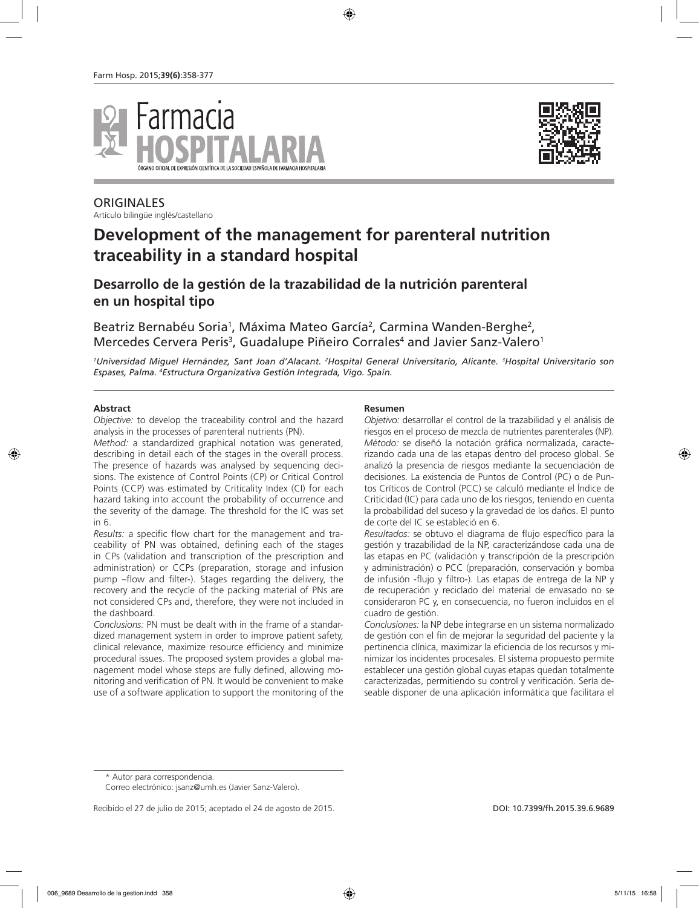



## **ORIGINALES**

Artículo bilingüe inglés/castellano

# **Development of the management for parenteral nutrition traceability in a standard hospital**

## **Desarrollo de la gestión de la trazabilidad de la nutrición parenteral en un hospital tipo**

Beatriz Bernabéu Soria<sup>1</sup>, Máxima Mateo García<sup>2</sup>, Carmina Wanden-Berghe<sup>2</sup>, Mercedes Cervera Peris<sup>3</sup>, Guadalupe Piñeiro Corrales<sup>4</sup> and Javier Sanz-Valero<sup>1</sup>

*1 Universidad Miguel Hernández, Sant Joan d'Alacant. 2 Hospital General Universitario, Alicante. 3 Hospital Universitario son Espases, Palma. 4 Estructura Organizativa Gestión Integrada, Vigo. Spain.*

#### **Abstract**

*Objective:* to develop the traceability control and the hazard analysis in the processes of parenteral nutrients (PN).

*Method:* a standardized graphical notation was generated, describing in detail each of the stages in the overall process. The presence of hazards was analysed by sequencing decisions. The existence of Control Points (CP) or Critical Control Points (CCP) was estimated by Criticality Index (CI) for each hazard taking into account the probability of occurrence and the severity of the damage. The threshold for the IC was set in 6.

*Results:* a specific flow chart for the management and traceability of PN was obtained, defining each of the stages in CPs (validation and transcription of the prescription and administration) or CCPs (preparation, storage and infusion pump –flow and filter-). Stages regarding the delivery, the recovery and the recycle of the packing material of PNs are not considered CPs and, therefore, they were not included in the dashboard.

*Conclusions:* PN must be dealt with in the frame of a standardized management system in order to improve patient safety, clinical relevance, maximize resource efficiency and minimize procedural issues. The proposed system provides a global management model whose steps are fully defined, allowing monitoring and verification of PN. It would be convenient to make use of a software application to support the monitoring of the

#### **Resumen**

*Objetivo:* desarrollar el control de la trazabilidad y el análisis de riesgos en el proceso de mezcla de nutrientes parenterales (NP). *Método:* se diseñó la notación gráfica normalizada, caracterizando cada una de las etapas dentro del proceso global. Se analizó la presencia de riesgos mediante la secuenciación de decisiones. La existencia de Puntos de Control (PC) o de Puntos Críticos de Control (PCC) se calculó mediante el Índice de Criticidad (IC) para cada uno de los riesgos, teniendo en cuenta la probabilidad del suceso y la gravedad de los daños. El punto de corte del IC se estableció en 6.

*Resultados:* se obtuvo el diagrama de flujo específico para la gestión y trazabilidad de la NP, caracterizándose cada una de las etapas en PC (validación y transcripción de la prescripción y administración) o PCC (preparación, conservación y bomba de infusión -flujo y filtro-). Las etapas de entrega de la NP y de recuperación y reciclado del material de envasado no se consideraron PC y, en consecuencia, no fueron incluidos en el cuadro de gestión.

*Conclusiones:* la NP debe integrarse en un sistema normalizado de gestión con el fin de mejorar la seguridad del paciente y la pertinencia clínica, maximizar la eficiencia de los recursos y minimizar los incidentes procesales. El sistema propuesto permite establecer una gestión global cuyas etapas quedan totalmente caracterizadas, permitiendo su control y verificación. Sería deseable disponer de una aplicación informática que facilitara el

\* Autor para correspondencia.

Correo electrónico: jsanz@umh.es (Javier Sanz-Valero).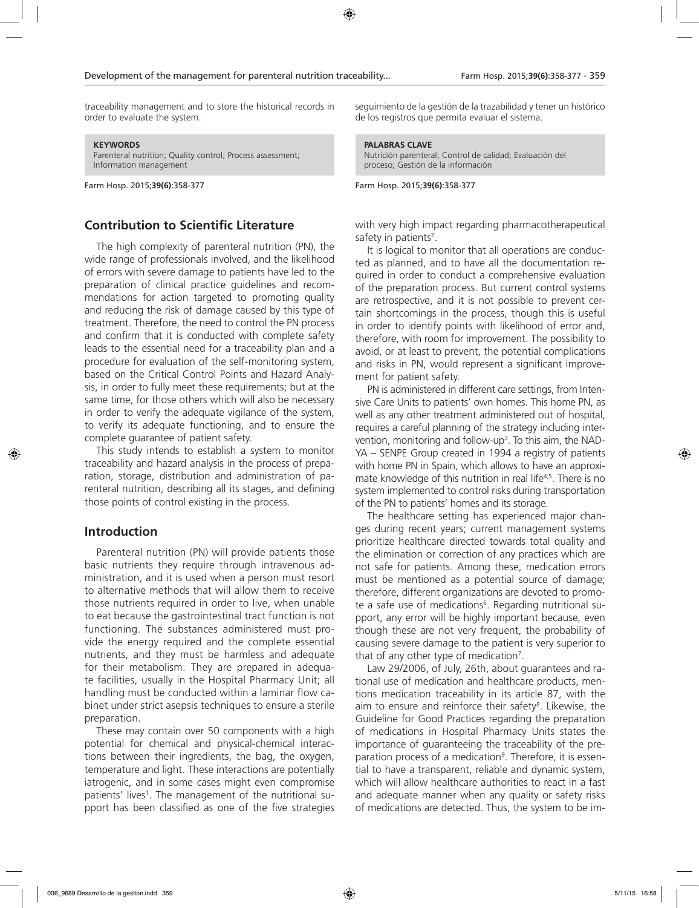traceability management and to store the historical records in order to evaluate the system.

#### **KEYWORDS**

Parenteral nutrition; Quality control; Process assessment; Information management

Farm Hosp. 2015;**39(6)**:358-377

## **Contribution to Scientific Literature**

The high complexity of parenteral nutrition (PN), the wide range of professionals involved, and the likelihood of errors with severe damage to patients have led to the preparation of clinical practice guidelines and recommendations for action targeted to promoting quality and reducing the risk of damage caused by this type of treatment. Therefore, the need to control the PN process and confirm that it is conducted with complete safety leads to the essential need for a traceability plan and a procedure for evaluation of the self-monitoring system, based on the Critical Control Points and Hazard Analysis, in order to fully meet these requirements; but at the same time, for those others which will also be necessary in order to verify the adequate vigilance of the system, to verify its adequate functioning, and to ensure the complete guarantee of patient safety.

This study intends to establish a system to monitor traceability and hazard analysis in the process of preparation, storage, distribution and administration of parenteral nutrition, describing all its stages, and defining those points of control existing in the process.

### **Introduction**

Parenteral nutrition (PN) will provide patients those basic nutrients they require through intravenous administration, and it is used when a person must resort to alternative methods that will allow them to receive those nutrients required in order to live, when unable to eat because the gastrointestinal tract function is not functioning. The substances administered must provide the energy required and the complete essential nutrients, and they must be harmless and adequate for their metabolism. They are prepared in adequate facilities, usually in the Hospital Pharmacy Unit; all handling must be conducted within a laminar flow cabinet under strict asepsis techniques to ensure a sterile preparation.

These may contain over 50 components with a high potential for chemical and physical-chemical interactions between their ingredients, the bag, the oxygen, temperature and light. These interactions are potentially iatrogenic, and in some cases might even compromise patients' lives<sup>1</sup>. The management of the nutritional support has been classified as one of the five strategies

seguimiento de la gestión de la trazabilidad y tener un histórico de los registros que permita evaluar el sistema.

#### **PALABRAS CLAVE**

Nutrición parenteral; Control de calidad; Evaluación del proceso; Gestión de la información

Farm Hosp. 2015;**39(6)**:358-377

with very high impact regarding pharmacotherapeutical safety in patients<sup>2</sup>.

It is logical to monitor that all operations are conducted as planned, and to have all the documentation required in order to conduct a comprehensive evaluation of the preparation process. But current control systems are retrospective, and it is not possible to prevent certain shortcomings in the process, though this is useful in order to identify points with likelihood of error and, therefore, with room for improvement. The possibility to avoid, or at least to prevent, the potential complications and risks in PN, would represent a significant improvement for patient safety.

PN is administered in different care settings, from Intensive Care Units to patients' own homes. This home PN, as well as any other treatment administered out of hospital, requires a careful planning of the strategy including intervention, monitoring and follow-up<sup>3</sup>. To this aim, the NAD-YA – SENPE Group created in 1994 a registry of patients with home PN in Spain, which allows to have an approximate knowledge of this nutrition in real life<sup>4,5</sup>. There is no system implemented to control risks during transportation of the PN to patients' homes and its storage.

The healthcare setting has experienced major changes during recent years; current management systems prioritize healthcare directed towards total quality and the elimination or correction of any practices which are not safe for patients. Among these, medication errors must be mentioned as a potential source of damage; therefore, different organizations are devoted to promote a safe use of medications<sup>6</sup>. Regarding nutritional support, any error will be highly important because, even though these are not very frequent, the probability of causing severe damage to the patient is very superior to that of any other type of medication<sup>7</sup>.

Law 29/2006, of July, 26th, about guarantees and rational use of medication and healthcare products, mentions medication traceability in its article 87, with the aim to ensure and reinforce their safety<sup>8</sup>. Likewise, the Guideline for Good Practices regarding the preparation of medications in Hospital Pharmacy Units states the importance of guaranteeing the traceability of the preparation process of a medication<sup>9</sup>. Therefore, it is essential to have a transparent, reliable and dynamic system, which will allow healthcare authorities to react in a fast and adequate manner when any quality or safety risks of medications are detected. Thus, the system to be im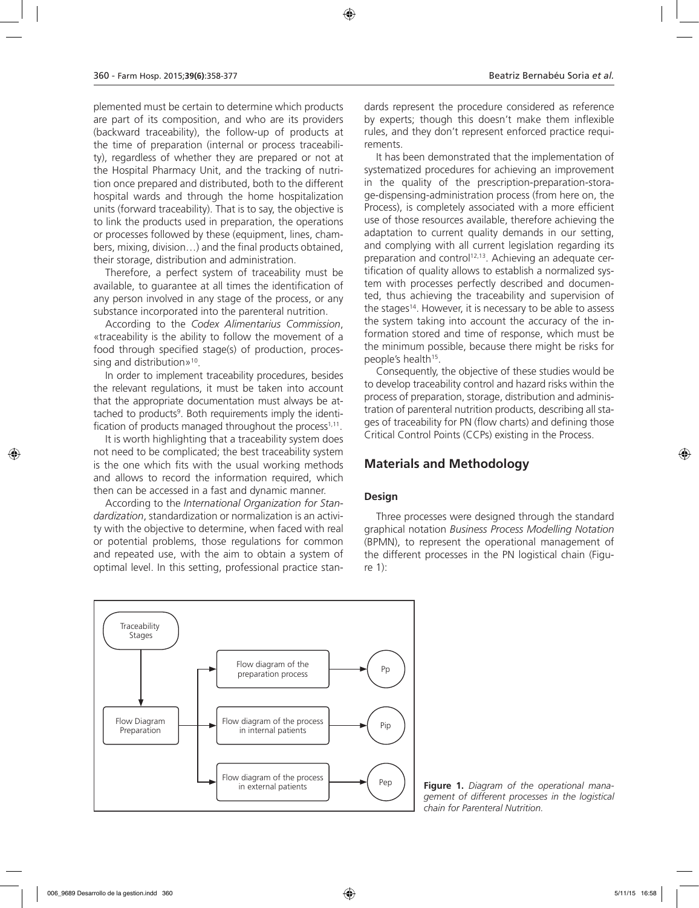plemented must be certain to determine which products are part of its composition, and who are its providers (backward traceability), the follow-up of products at the time of preparation (internal or process traceability), regardless of whether they are prepared or not at the Hospital Pharmacy Unit, and the tracking of nutrition once prepared and distributed, both to the different hospital wards and through the home hospitalization units (forward traceability). That is to say, the objective is to link the products used in preparation, the operations or processes followed by these (equipment, lines, chambers, mixing, division…) and the final products obtained, their storage, distribution and administration.

Therefore, a perfect system of traceability must be available, to guarantee at all times the identification of any person involved in any stage of the process, or any substance incorporated into the parenteral nutrition.

According to the *Codex Alimentarius Commission*, «traceability is the ability to follow the movement of a food through specified stage(s) of production, processing and distribution»<sup>10</sup>.

In order to implement traceability procedures, besides the relevant regulations, it must be taken into account that the appropriate documentation must always be attached to products<sup>9</sup>. Both requirements imply the identification of products managed throughout the process<sup> $1,11$ </sup>.

It is worth highlighting that a traceability system does not need to be complicated; the best traceability system is the one which fits with the usual working methods and allows to record the information required, which then can be accessed in a fast and dynamic manner.

According to the *International Organization for Standardization*, standardization or normalization is an activity with the objective to determine, when faced with real or potential problems, those regulations for common and repeated use, with the aim to obtain a system of optimal level. In this setting, professional practice stan-

dards represent the procedure considered as reference by experts; though this doesn't make them inflexible rules, and they don't represent enforced practice requirements.

It has been demonstrated that the implementation of systematized procedures for achieving an improvement in the quality of the prescription-preparation-storage-dispensing-administration process (from here on, the Process), is completely associated with a more efficient use of those resources available, therefore achieving the adaptation to current quality demands in our setting, and complying with all current legislation regarding its preparation and control<sup>12,13</sup>. Achieving an adequate certification of quality allows to establish a normalized system with processes perfectly described and documented, thus achieving the traceability and supervision of the stages<sup>14</sup>. However, it is necessary to be able to assess the system taking into account the accuracy of the information stored and time of response, which must be the minimum possible, because there might be risks for people's health<sup>15</sup>.

Consequently, the objective of these studies would be to develop traceability control and hazard risks within the process of preparation, storage, distribution and administration of parenteral nutrition products, describing all stages of traceability for PN (flow charts) and defining those Critical Control Points (CCPs) existing in the Process.

## **Materials and Methodology**

### **Design**

Three processes were designed through the standard graphical notation *Business Process Modelling Notation* (BPMN), to represent the operational management of the different processes in the PN logistical chain (Figure 1):



Figure 1. Diagram of the operational mana*gement of different processes in the logistical chain for Parenteral Nutrition.*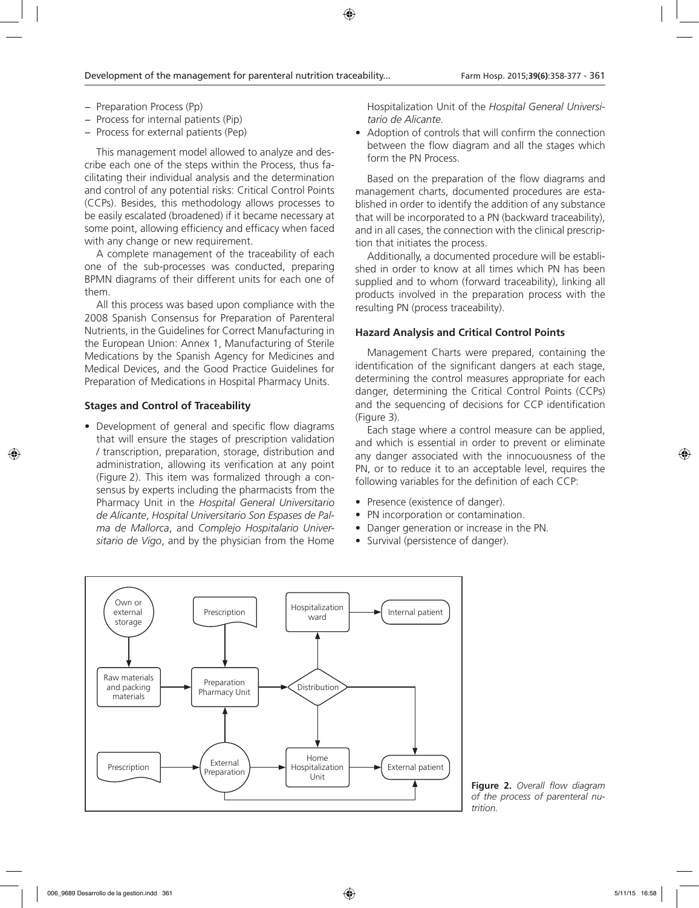- − Preparation Process (Pp)
- − Process for internal patients (Pip)
- − Process for external patients (Pep)

This management model allowed to analyze and describe each one of the steps within the Process, thus facilitating their individual analysis and the determination and control of any potential risks: Critical Control Points (CCPs). Besides, this methodology allows processes to be easily escalated (broadened) if it became necessary at some point, allowing efficiency and efficacy when faced with any change or new requirement.

A complete management of the traceability of each one of the sub-processes was conducted, preparing BPMN diagrams of their different units for each one of them.

All this process was based upon compliance with the 2008 Spanish Consensus for Preparation of Parenteral Nutrients, in the Guidelines for Correct Manufacturing in the European Union: Annex 1, Manufacturing of Sterile Medications by the Spanish Agency for Medicines and Medical Devices, and the Good Practice Guidelines for Preparation of Medications in Hospital Pharmacy Units.

### **Stages and Control of Traceability**

• Development of general and specific flow diagrams that will ensure the stages of prescription validation / transcription, preparation, storage, distribution and administration, allowing its verification at any point (Figure 2). This item was formalized through a consensus by experts including the pharmacists from the Pharmacy Unit in the *Hospital General Universitario de Alicante*, *Hospital Universitario Son Espases de Palma de Mallorca*, and *Complejo Hospitalario Universitario de Vigo*, and by the physician from the Home

Hospitalization Unit of the *Hospital General Universitario de Alicante.*

• Adoption of controls that will confirm the connection between the flow diagram and all the stages which form the PN Process.

Based on the preparation of the flow diagrams and management charts, documented procedures are established in order to identify the addition of any substance that will be incorporated to a PN (backward traceability), and in all cases, the connection with the clinical prescription that initiates the process.

Additionally, a documented procedure will be established in order to know at all times which PN has been supplied and to whom (forward traceability), linking all products involved in the preparation process with the resulting PN (process traceability).

### **Hazard Analysis and Critical Control Points**

Management Charts were prepared, containing the identification of the significant dangers at each stage, determining the control measures appropriate for each danger, determining the Critical Control Points (CCPs) and the sequencing of decisions for CCP identification (Figure 3).

Each stage where a control measure can be applied, and which is essential in order to prevent or eliminate any danger associated with the innocuousness of the PN, or to reduce it to an acceptable level, requires the following variables for the definition of each CCP:

- Presence (existence of danger).
- PN incorporation or contamination.
- Danger generation or increase in the PN.
- Survival (persistence of danger).



**Figure 2.** *Overall flow diagram of the process of parenteral nutrition.*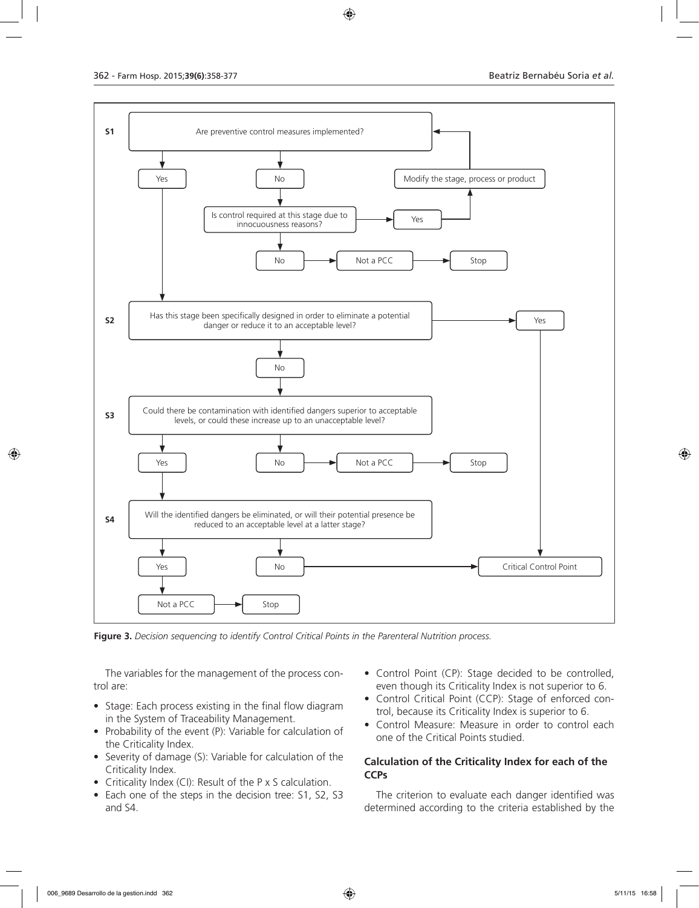

**Figure 3.** *Decision sequencing to identify Control Critical Points in the Parenteral Nutrition process.*

The variables for the management of the process control are:

- Stage: Each process existing in the final flow diagram in the System of Traceability Management.
- Probability of the event (P): Variable for calculation of the Criticality Index.
- Severity of damage (S): Variable for calculation of the Criticality Index.
- Criticality Index (CI): Result of the P x S calculation.
- Each one of the steps in the decision tree: S1, S2, S3 and S4.
- Control Point (CP): Stage decided to be controlled, even though its Criticality Index is not superior to 6.
- Control Critical Point (CCP): Stage of enforced control, because its Criticality Index is superior to 6.
- Control Measure: Measure in order to control each one of the Critical Points studied.

#### **Calculation of the Criticality Index for each of the CCPs**

The criterion to evaluate each danger identified was determined according to the criteria established by the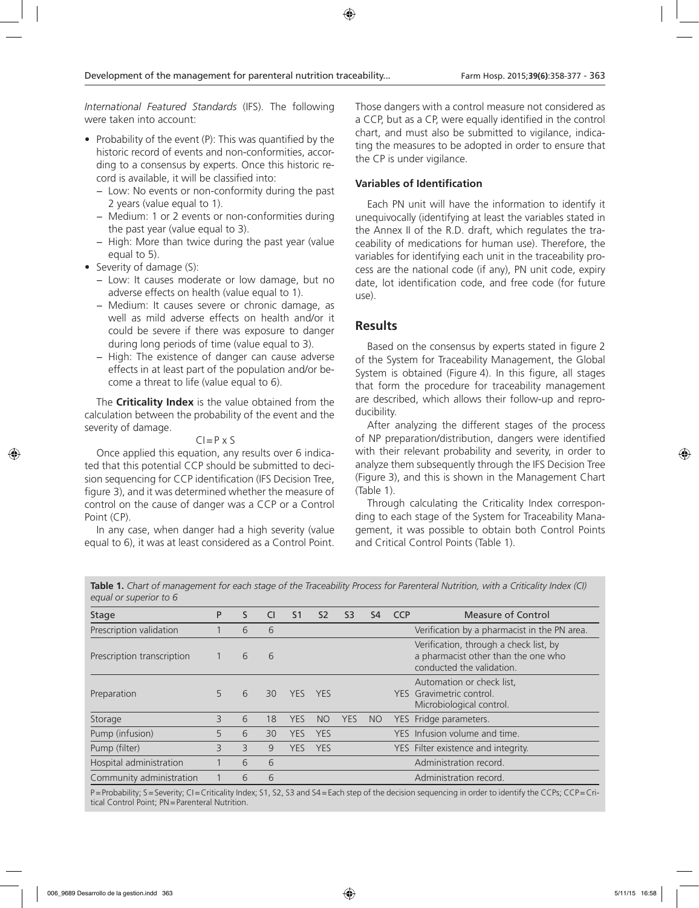*International Featured Standards* (IFS). The following were taken into account:

- Probability of the event (P): This was quantified by the historic record of events and non-conformities, according to a consensus by experts. Once this historic record is available, it will be classified into:
	- − Low: No events or non-conformity during the past 2 years (value equal to 1).
	- − Medium: 1 or 2 events or non-conformities during the past year (value equal to 3).
	- − High: More than twice during the past year (value equal to 5).
- Severity of damage (S):
	- − Low: It causes moderate or low damage, but no adverse effects on health (value equal to 1).
	- − Medium: It causes severe or chronic damage, as well as mild adverse effects on health and/or it could be severe if there was exposure to danger during long periods of time (value equal to 3).
	- − High: The existence of danger can cause adverse effects in at least part of the population and/or become a threat to life (value equal to 6).

The **Criticality Index** is the value obtained from the calculation between the probability of the event and the severity of damage.

#### $CI = P \times S$

Once applied this equation, any results over 6 indicated that this potential CCP should be submitted to decision sequencing for CCP identification (IFS Decision Tree, figure 3), and it was determined whether the measure of control on the cause of danger was a CCP or a Control Point (CP).

In any case, when danger had a high severity (value equal to 6), it was at least considered as a Control Point. Those dangers with a control measure not considered as a CCP, but as a CP, were equally identified in the control chart, and must also be submitted to vigilance, indicating the measures to be adopted in order to ensure that the CP is under vigilance.

#### **Variables of Identification**

Each PN unit will have the information to identify it unequivocally (identifying at least the variables stated in the Annex II of the R.D. draft, which regulates the traceability of medications for human use). Therefore, the variables for identifying each unit in the traceability process are the national code (if any), PN unit code, expiry date, lot identification code, and free code (for future use).

### **Results**

Based on the consensus by experts stated in figure 2 of the System for Traceability Management, the Global System is obtained (Figure 4). In this figure, all stages that form the procedure for traceability management are described, which allows their follow-up and reproducibility.

After analyzing the different stages of the process of NP preparation/distribution, dangers were identified with their relevant probability and severity, in order to analyze them subsequently through the IFS Decision Tree (Figure 3), and this is shown in the Management Chart (Table 1).

Through calculating the Criticality Index corresponding to each stage of the System for Traceability Management, it was possible to obtain both Control Points and Critical Control Points (Table 1).

**Table 1.** *Chart of management for each stage of the Traceability Process for Parenteral Nutrition, with a Criticality Index (CI) equal or superior to 6*

| Stage                      | P | S. | <b>CI</b> | S <sub>1</sub> | S <sub>2</sub> | S <sub>3</sub> | S <sub>4</sub> | <b>CCP</b> | Measure of Control                                                                                         |
|----------------------------|---|----|-----------|----------------|----------------|----------------|----------------|------------|------------------------------------------------------------------------------------------------------------|
| Prescription validation    |   | 6  | 6         |                |                |                |                |            | Verification by a pharmacist in the PN area.                                                               |
| Prescription transcription |   | 6  | 6         |                |                |                |                |            | Verification, through a check list, by<br>a pharmacist other than the one who<br>conducted the validation. |
| Preparation                |   | 6  | 30        | <b>YES</b>     | <b>YFS</b>     |                |                |            | Automation or check list,<br>YES Gravimetric control.<br>Microbiological control.                          |
| Storage                    | Β | 6  | 18        | <b>YES</b>     | <b>NO</b>      | YES            | <b>NO</b>      |            | YES Fridge parameters.                                                                                     |
| Pump (infusion)            | 5 | 6  | 30        | YES            | <b>YES</b>     |                |                |            | YES Infusion volume and time.                                                                              |
| Pump (filter)              | 3 | 3  | 9         | YES            | <b>YES</b>     |                |                |            | YES Filter existence and integrity.                                                                        |
| Hospital administration    |   | 6  | 6         |                |                |                |                |            | Administration record.                                                                                     |
| Community administration   |   | 6  | 6         |                |                |                |                |            | Administration record.                                                                                     |

P=Probability; S=Severity; CI=Criticality Index; S1, S2, S3 and S4=Each step of the decision sequencing in order to identify the CCPs; CCP=Critical Control Point; PN=Parenteral Nutrition.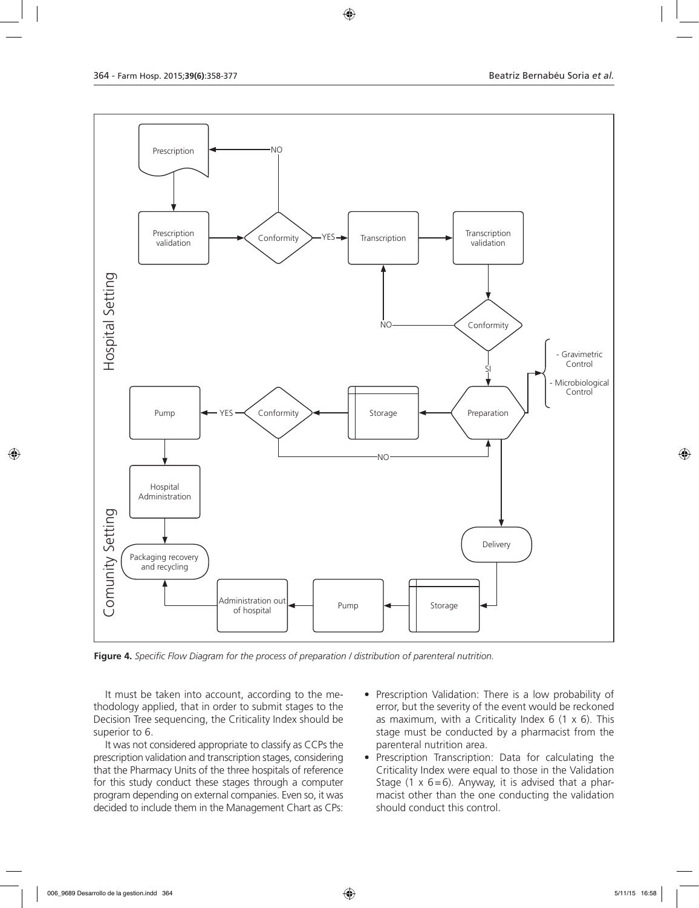

**Figure 4.** *Specific Flow Diagram for the process of preparation / distribution of parenteral nutrition.*

It must be taken into account, according to the methodology applied, that in order to submit stages to the Decision Tree sequencing, the Criticality Index should be superior to 6.

It was not considered appropriate to classify as CCPs the prescription validation and transcription stages, considering that the Pharmacy Units of the three hospitals of reference for this study conduct these stages through a computer program depending on external companies. Even so, it was decided to include them in the Management Chart as CPs:

- Prescription Validation: There is a low probability of error, but the severity of the event would be reckoned as maximum, with a Criticality Index 6  $(1 \times 6)$ . This stage must be conducted by a pharmacist from the parenteral nutrition area.
- Prescription Transcription: Data for calculating the Criticality Index were equal to those in the Validation Stage (1  $\times$  6=6). Anyway, it is advised that a pharmacist other than the one conducting the validation should conduct this control.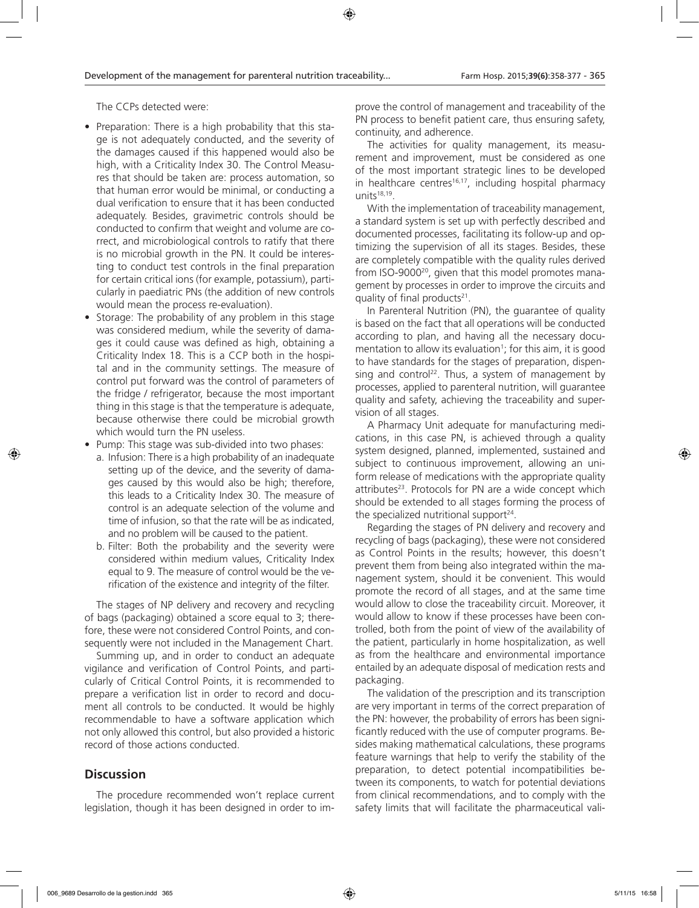The CCPs detected were:

- Preparation: There is a high probability that this stage is not adequately conducted, and the severity of the damages caused if this happened would also be high, with a Criticality Index 30. The Control Measures that should be taken are: process automation, so that human error would be minimal, or conducting a dual verification to ensure that it has been conducted adequately. Besides, gravimetric controls should be conducted to confirm that weight and volume are correct, and microbiological controls to ratify that there is no microbial growth in the PN. It could be interesting to conduct test controls in the final preparation for certain critical ions (for example, potassium), particularly in paediatric PNs (the addition of new controls would mean the process re-evaluation).
- Storage: The probability of any problem in this stage was considered medium, while the severity of damages it could cause was defined as high, obtaining a Criticality Index 18. This is a CCP both in the hospital and in the community settings. The measure of control put forward was the control of parameters of the fridge / refrigerator, because the most important thing in this stage is that the temperature is adequate, because otherwise there could be microbial growth which would turn the PN useless.
- Pump: This stage was sub-divided into two phases:
	- a. Infusion: There is a high probability of an inadequate setting up of the device, and the severity of damages caused by this would also be high; therefore, this leads to a Criticality Index 30. The measure of control is an adequate selection of the volume and time of infusion, so that the rate will be as indicated, and no problem will be caused to the patient.
	- b. Filter: Both the probability and the severity were considered within medium values, Criticality Index equal to 9. The measure of control would be the verification of the existence and integrity of the filter.

The stages of NP delivery and recovery and recycling of bags (packaging) obtained a score equal to 3; therefore, these were not considered Control Points, and consequently were not included in the Management Chart.

Summing up, and in order to conduct an adequate vigilance and verification of Control Points, and particularly of Critical Control Points, it is recommended to prepare a verification list in order to record and document all controls to be conducted. It would be highly recommendable to have a software application which not only allowed this control, but also provided a historic record of those actions conducted.

## **Discussion**

The procedure recommended won't replace current legislation, though it has been designed in order to improve the control of management and traceability of the PN process to benefit patient care, thus ensuring safety, continuity, and adherence.

The activities for quality management, its measurement and improvement, must be considered as one of the most important strategic lines to be developed in healthcare centres<sup>16,17</sup>, including hospital pharmacy units<sup>18,19</sup>.

With the implementation of traceability management, a standard system is set up with perfectly described and documented processes, facilitating its follow-up and optimizing the supervision of all its stages. Besides, these are completely compatible with the quality rules derived from ISO-9000<sup>20</sup>, given that this model promotes management by processes in order to improve the circuits and quality of final products $21$ .

In Parenteral Nutrition (PN), the guarantee of quality is based on the fact that all operations will be conducted according to plan, and having all the necessary documentation to allow its evaluation<sup>1</sup>; for this aim, it is good to have standards for the stages of preparation, dispensing and control<sup>22</sup>. Thus, a system of management by processes, applied to parenteral nutrition, will guarantee quality and safety, achieving the traceability and supervision of all stages.

A Pharmacy Unit adequate for manufacturing medications, in this case PN, is achieved through a quality system designed, planned, implemented, sustained and subject to continuous improvement, allowing an uniform release of medications with the appropriate quality attributes<sup>23</sup>. Protocols for PN are a wide concept which should be extended to all stages forming the process of the specialized nutritional support $24$ .

Regarding the stages of PN delivery and recovery and recycling of bags (packaging), these were not considered as Control Points in the results; however, this doesn't prevent them from being also integrated within the management system, should it be convenient. This would promote the record of all stages, and at the same time would allow to close the traceability circuit. Moreover, it would allow to know if these processes have been controlled, both from the point of view of the availability of the patient, particularly in home hospitalization, as well as from the healthcare and environmental importance entailed by an adequate disposal of medication rests and packaging.

The validation of the prescription and its transcription are very important in terms of the correct preparation of the PN: however, the probability of errors has been significantly reduced with the use of computer programs. Besides making mathematical calculations, these programs feature warnings that help to verify the stability of the preparation, to detect potential incompatibilities between its components, to watch for potential deviations from clinical recommendations, and to comply with the safety limits that will facilitate the pharmaceutical vali-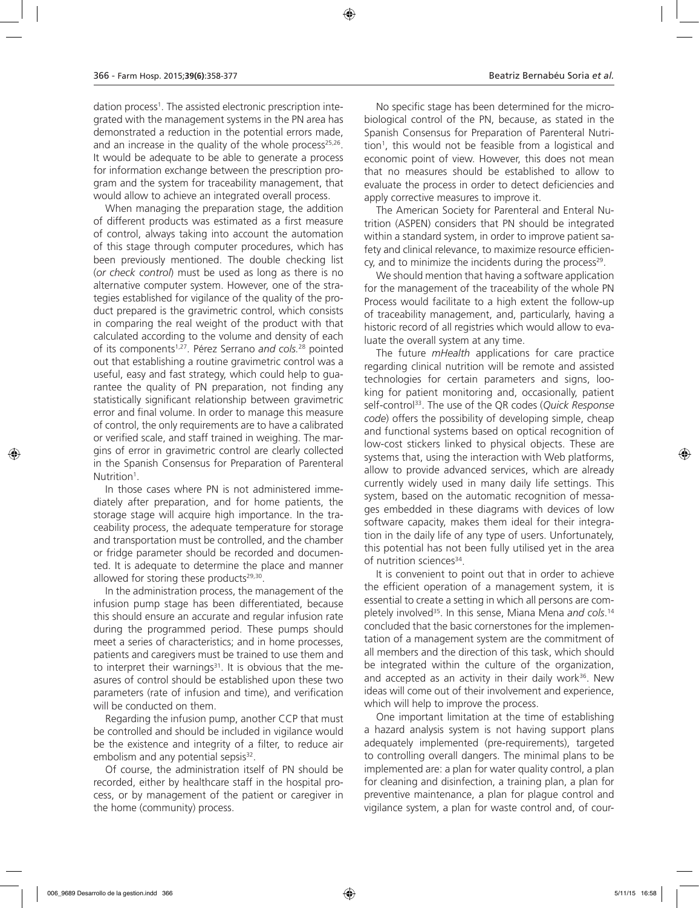dation process1 . The assisted electronic prescription integrated with the management systems in the PN area has demonstrated a reduction in the potential errors made, and an increase in the quality of the whole process $25,26$ . It would be adequate to be able to generate a process for information exchange between the prescription program and the system for traceability management, that would allow to achieve an integrated overall process.

When managing the preparation stage, the addition of different products was estimated as a first measure of control, always taking into account the automation of this stage through computer procedures, which has been previously mentioned. The double checking list (*or check control*) must be used as long as there is no alternative computer system. However, one of the strategies established for vigilance of the quality of the product prepared is the gravimetric control, which consists in comparing the real weight of the product with that calculated according to the volume and density of each of its components1,27. Pérez Serrano *and cols.*28 pointed out that establishing a routine gravimetric control was a useful, easy and fast strategy, which could help to guarantee the quality of PN preparation, not finding any statistically significant relationship between gravimetric error and final volume. In order to manage this measure of control, the only requirements are to have a calibrated or verified scale, and staff trained in weighing. The margins of error in gravimetric control are clearly collected in the Spanish Consensus for Preparation of Parenteral Nutrition<sup>1</sup>.

In those cases where PN is not administered immediately after preparation, and for home patients, the storage stage will acquire high importance. In the traceability process, the adequate temperature for storage and transportation must be controlled, and the chamber or fridge parameter should be recorded and documented. It is adequate to determine the place and manner allowed for storing these products $29,30$ .

In the administration process, the management of the infusion pump stage has been differentiated, because this should ensure an accurate and regular infusion rate during the programmed period. These pumps should meet a series of characteristics; and in home processes, patients and caregivers must be trained to use them and to interpret their warnings $31$ . It is obvious that the measures of control should be established upon these two parameters (rate of infusion and time), and verification will be conducted on them.

Regarding the infusion pump, another CCP that must be controlled and should be included in vigilance would be the existence and integrity of a filter, to reduce air embolism and any potential sepsis<sup>32</sup>.

Of course, the administration itself of PN should be recorded, either by healthcare staff in the hospital process, or by management of the patient or caregiver in the home (community) process.

No specific stage has been determined for the microbiological control of the PN, because, as stated in the Spanish Consensus for Preparation of Parenteral Nutrition<sup>1</sup>, this would not be feasible from a logistical and economic point of view. However, this does not mean that no measures should be established to allow to evaluate the process in order to detect deficiencies and apply corrective measures to improve it.

The American Society for Parenteral and Enteral Nutrition (ASPEN) considers that PN should be integrated within a standard system, in order to improve patient safety and clinical relevance, to maximize resource efficien $cy$ , and to minimize the incidents during the process<sup>29</sup>.

We should mention that having a software application for the management of the traceability of the whole PN Process would facilitate to a high extent the follow-up of traceability management, and, particularly, having a historic record of all registries which would allow to evaluate the overall system at any time.

The future *mHealth* applications for care practice regarding clinical nutrition will be remote and assisted technologies for certain parameters and signs, looking for patient monitoring and, occasionally, patient self-control33. The use of the QR codes (*Quick Response code*) offers the possibility of developing simple, cheap and functional systems based on optical recognition of low-cost stickers linked to physical objects. These are systems that, using the interaction with Web platforms, allow to provide advanced services, which are already currently widely used in many daily life settings. This system, based on the automatic recognition of messages embedded in these diagrams with devices of low software capacity, makes them ideal for their integration in the daily life of any type of users. Unfortunately, this potential has not been fully utilised yet in the area of nutrition sciences<sup>34</sup>.

It is convenient to point out that in order to achieve the efficient operation of a management system, it is essential to create a setting in which all persons are completely involved35. In this sense, Miana Mena *and cols*. 14 concluded that the basic cornerstones for the implementation of a management system are the commitment of all members and the direction of this task, which should be integrated within the culture of the organization, and accepted as an activity in their daily work $36$ . New ideas will come out of their involvement and experience, which will help to improve the process.

One important limitation at the time of establishing a hazard analysis system is not having support plans adequately implemented (pre-requirements), targeted to controlling overall dangers. The minimal plans to be implemented are: a plan for water quality control, a plan for cleaning and disinfection, a training plan, a plan for preventive maintenance, a plan for plague control and vigilance system, a plan for waste control and, of cour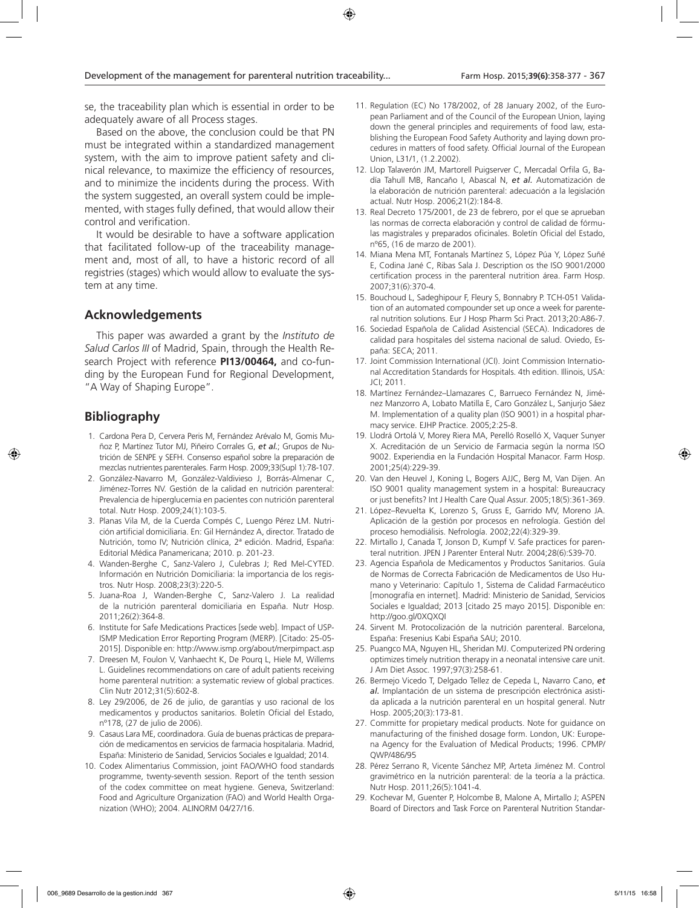se, the traceability plan which is essential in order to be adequately aware of all Process stages.

Based on the above, the conclusion could be that PN must be integrated within a standardized management system, with the aim to improve patient safety and clinical relevance, to maximize the efficiency of resources, and to minimize the incidents during the process. With the system suggested, an overall system could be implemented, with stages fully defined, that would allow their control and verification.

It would be desirable to have a software application that facilitated follow-up of the traceability management and, most of all, to have a historic record of all registries (stages) which would allow to evaluate the system at any time.

### **Acknowledgements**

This paper was awarded a grant by the *Instituto de Salud Carlos III* of Madrid, Spain, through the Health Research Project with reference **PI13/00464,** and co-funding by the European Fund for Regional Development, "A Way of Shaping Europe".

## **Bibliography**

- 1. Cardona Pera D, Cervera Peris M, Fernández Arévalo M, Gomis Muñoz P, Martínez Tutor MJ, Piñeiro Corrales G, *et al.*; Grupos de Nutrición de SENPE y SEFH. Consenso español sobre la preparación de mezclas nutrientes parenterales. Farm Hosp. 2009;33(Supl 1):78-107.
- 2. González-Navarro M, González-Valdivieso J, Borrás-Almenar C, Jiménez-Torres NV. Gestión de la calidad en nutrición parenteral: Prevalencia de hiperglucemia en pacientes con nutrición parenteral total. Nutr Hosp. 2009;24(1):103-5.
- 3. Planas Vila M, de la Cuerda Compés C, Luengo Pérez LM. Nutrición artificial domiciliaria. En: Gil Hernández A, director. Tratado de Nutrición, tomo IV; Nutrición clínica, 2ª edición. Madrid, España: Editorial Médica Panamericana; 2010. p. 201-23.
- 4. Wanden-Berghe C, Sanz-Valero J, Culebras J; Red Mel-CYTED. Información en Nutrición Domiciliaria: la importancia de los registros. Nutr Hosp. 2008;23(3):220-5.
- 5. Juana-Roa J, Wanden-Berghe C, Sanz-Valero J. La realidad de la nutrición parenteral domiciliaria en España. Nutr Hosp. 2011;26(2):364-8.
- 6. Institute for Safe Medications Practices [sede web]. Impact of USP-ISMP Medication Error Reporting Program (MERP). [Citado: 25-05- 2015]. Disponible en: http://www.ismp.org/about/merpimpact.asp
- 7. Dreesen M, Foulon V, Vanhaecht K, De Pourq L, Hiele M, Willems L. Guidelines recommendations on care of adult patients receiving home parenteral nutrition: a systematic review of global practices. Clin Nutr 2012;31(5):602-8.
- 8. Ley 29/2006, de 26 de julio, de garantías y uso racional de los medicamentos y productos sanitarios. Boletín Oficial del Estado, nº178, (27 de julio de 2006).
- 9. Casaus Lara ME, coordinadora. Guía de buenas prácticas de preparación de medicamentos en servicios de farmacia hospitalaria. Madrid, España: Ministerio de Sanidad, Servicios Sociales e Igualdad; 2014.
- 10. Codex Alimentarius Commission, joint FAO/WHO food standards programme, twenty-seventh session. Report of the tenth session of the codex committee on meat hygiene. Geneva, Switzerland: Food and Agriculture Organization (FAO) and World Health Organization (WHO); 2004. ALINORM 04/27/16.
- 11. Regulation (EC) No 178/2002, of 28 January 2002, of the European Parliament and of the Council of the European Union, laying down the general principles and requirements of food law, establishing the European Food Safety Authority and laying down procedures in matters of food safety. Official Journal of the European Union, L31/1, (1.2.2002).
- 12. Llop Talaverón JM, Martorell Puigserver C, Mercadal Orfila G, Badía Tahull MB, Rancaño I, Abascal N, *et al.* Automatización de la elaboración de nutrición parenteral: adecuación a la legislación actual. Nutr Hosp. 2006;21(2):184-8.
- 13. Real Decreto 175/2001, de 23 de febrero, por el que se aprueban las normas de correcta elaboración y control de calidad de fórmulas magistrales y preparados oficinales. Boletín Oficial del Estado, nº65, (16 de marzo de 2001).
- 14. Miana Mena MT, Fontanals Martínez S, López Púa Y, López Suñé E, Codina Jané C, Ribas Sala J. Description os the ISO 9001/2000 certification process in the parenteral nutrition área. Farm Hosp. 2007;31(6):370-4.
- 15. Bouchoud L, Sadeghipour F, Fleury S, Bonnabry P. TCH-051 Validation of an automated compounder set up once a week for parenteral nutrition solutions. Eur J Hosp Pharm Sci Pract. 2013;20:A86-7.
- 16. Sociedad Española de Calidad Asistencial (SECA). Indicadores de calidad para hospitales del sistema nacional de salud. Oviedo, España: SECA; 2011.
- 17. Joint Commission International (JCI). Joint Commission International Accreditation Standards for Hospitals. 4th edition. Illinois, USA: JCI; 2011.
- 18. Martínez Fernández–Llamazares C, Barrueco Fernández N, Jiménez Manzorro A, Lobato Matilla E, Caro González L, Sanjurjo Sáez M. Implementation of a quality plan (ISO 9001) in a hospital pharmacy service. EJHP Practice. 2005;2:25-8.
- 19. Llodrá Ortolá V, Morey Riera MA, Perelló Roselló X, Vaquer Sunyer X. Acreditación de un Servicio de Farmacia según la norma ISO 9002. Experiendia en la Fundación Hospital Manacor. Farm Hosp. 2001;25(4):229-39.
- 20. Van den Heuvel J, Koning L, Bogers AJJC, Berg M, Van Dijen. An ISO 9001 quality management system in a hospital: Bureaucracy or just benefits? Int J Health Care Qual Assur. 2005;18(5):361-369.
- 21. López–Revuelta K, Lorenzo S, Gruss E, Garrido MV, Moreno JA. Aplicación de la gestión por procesos en nefrología. Gestión del proceso hemodiálisis. Nefrología. 2002;22(4):329-39.
- 22. Mirtallo J, Canada T, Jonson D, Kumpf V. Safe practices for parenteral nutrition. JPEN J Parenter Enteral Nutr. 2004;28(6):S39-70.
- 23. Agencia Española de Medicamentos y Productos Sanitarios. Guía de Normas de Correcta Fabricación de Medicamentos de Uso Humano y Veterinario: Capítulo 1, Sistema de Calidad Farmacéutico [monografía en internet]. Madrid: Ministerio de Sanidad, Servicios Sociales e Igualdad; 2013 [citado 25 mayo 2015]. Disponible en: http://goo.gl/0XQXQI
- 24. Sirvent M. Protocolización de la nutrición parenteral. Barcelona, España: Fresenius Kabi España SAU; 2010.
- 25. Puangco MA, Nguyen HL, Sheridan MJ. Computerized PN ordering optimizes timely nutrition therapy in a neonatal intensive care unit. J Am Diet Assoc. 1997;97(3):258-61.
- 26. Bermejo Vicedo T, Delgado Tellez de Cepeda L, Navarro Cano, *et al.* Implantación de un sistema de prescripción electrónica asistida aplicada a la nutrición parenteral en un hospital general. Nutr Hosp. 2005;20(3):173-81.
- 27. Committe for propietary medical products. Note for guidance on manufacturing of the finished dosage form. London, UK: Europena Agency for the Evaluation of Medical Products; 1996. CPMP/ QWP/486/95
- 28. Pérez Serrano R, Vicente Sánchez MP, Arteta Jiménez M. Control gravimétrico en la nutrición parenteral: de la teoría a la práctica. Nutr Hosp. 2011;26(5):1041-4.
- 29. Kochevar M, Guenter P, Holcombe B, Malone A, Mirtallo J; ASPEN Board of Directors and Task Force on Parenteral Nutrition Standar-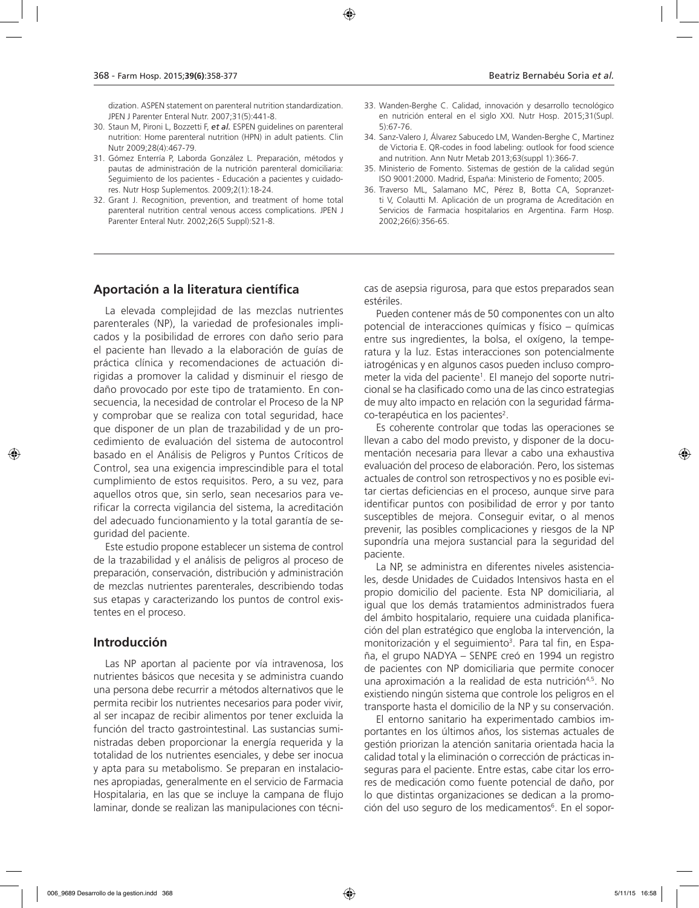dization. ASPEN statement on parenteral nutrition standardization. JPEN J Parenter Enteral Nutr. 2007;31(5):441-8.

- 30. Staun M, Pironi L, Bozzetti F, *et al.* ESPEN guidelines on parenteral nutrition: Home parenteral nutrition (HPN) in adult patients. Clin Nutr 2009;28(4):467-79.
- 31. Gómez Enterría P, Laborda González L. Preparación, métodos y pautas de administración de la nutrición parenteral domiciliaria: Seguimiento de los pacientes - Educación a pacientes y cuidadores. Nutr Hosp Suplementos. 2009;2(1):18-24.
- 32. Grant J. Recognition, prevention, and treatment of home total parenteral nutrition central venous access complications. JPEN J Parenter Enteral Nutr. 2002;26(5 Suppl):S21-8.
- 33. Wanden-Berghe C. Calidad, innovación y desarrollo tecnológico en nutrición enteral en el siglo XXI. Nutr Hosp. 2015;31(Supl. 5):67-76.
- 34. Sanz-Valero J, Álvarez Sabucedo LM, Wanden-Berghe C, Martinez de Victoria E. QR-codes in food labeling: outlook for food science and nutrition. Ann Nutr Metab 2013;63(suppl 1):366-7.
- 35. Ministerio de Fomento. Sistemas de gestión de la calidad según ISO 9001:2000. Madrid, España: Ministerio de Fomento; 2005.
- 36. Traverso ML, Salamano MC, Pérez B, Botta CA, Sopranzetti V, Colautti M. Aplicación de un programa de Acreditación en Servicios de Farmacia hospitalarios en Argentina. Farm Hosp. 2002;26(6):356-65.

#### **Aportación a la literatura científica**

La elevada complejidad de las mezclas nutrientes parenterales (NP), la variedad de profesionales implicados y la posibilidad de errores con daño serio para el paciente han llevado a la elaboración de guías de práctica clínica y recomendaciones de actuación dirigidas a promover la calidad y disminuir el riesgo de daño provocado por este tipo de tratamiento. En consecuencia, la necesidad de controlar el Proceso de la NP y comprobar que se realiza con total seguridad, hace que disponer de un plan de trazabilidad y de un procedimiento de evaluación del sistema de autocontrol basado en el Análisis de Peligros y Puntos Críticos de Control, sea una exigencia imprescindible para el total cumplimiento de estos requisitos. Pero, a su vez, para aquellos otros que, sin serlo, sean necesarios para verificar la correcta vigilancia del sistema, la acreditación del adecuado funcionamiento y la total garantía de seguridad del paciente.

Este estudio propone establecer un sistema de control de la trazabilidad y el análisis de peligros al proceso de preparación, conservación, distribución y administración de mezclas nutrientes parenterales, describiendo todas sus etapas y caracterizando los puntos de control existentes en el proceso.

### **Introducción**

Las NP aportan al paciente por vía intravenosa, los nutrientes básicos que necesita y se administra cuando una persona debe recurrir a métodos alternativos que le permita recibir los nutrientes necesarios para poder vivir, al ser incapaz de recibir alimentos por tener excluida la función del tracto gastrointestinal. Las sustancias suministradas deben proporcionar la energía requerida y la totalidad de los nutrientes esenciales, y debe ser inocua y apta para su metabolismo. Se preparan en instalaciones apropiadas, generalmente en el servicio de Farmacia Hospitalaria, en las que se incluye la campana de flujo laminar, donde se realizan las manipulaciones con técni-

cas de asepsia rigurosa, para que estos preparados sean estériles.

Pueden contener más de 50 componentes con un alto potencial de interacciones químicas y físico – químicas entre sus ingredientes, la bolsa, el oxígeno, la temperatura y la luz. Estas interacciones son potencialmente iatrogénicas y en algunos casos pueden incluso comprometer la vida del paciente<sup>1</sup>. El manejo del soporte nutricional se ha clasificado como una de las cinco estrategias de muy alto impacto en relación con la seguridad fármaco-terapéutica en los pacientes<sup>2</sup>.

Es coherente controlar que todas las operaciones se llevan a cabo del modo previsto, y disponer de la documentación necesaria para llevar a cabo una exhaustiva evaluación del proceso de elaboración. Pero, los sistemas actuales de control son retrospectivos y no es posible evitar ciertas deficiencias en el proceso, aunque sirve para identificar puntos con posibilidad de error y por tanto susceptibles de mejora. Conseguir evitar, o al menos prevenir, las posibles complicaciones y riesgos de la NP supondría una mejora sustancial para la seguridad del paciente.

La NP, se administra en diferentes niveles asistenciales, desde Unidades de Cuidados Intensivos hasta en el propio domicilio del paciente. Esta NP domiciliaria, al igual que los demás tratamientos administrados fuera del ámbito hospitalario, requiere una cuidada planificación del plan estratégico que engloba la intervención, la monitorización y el seguimiento<sup>3</sup>. Para tal fin, en España, el grupo NADYA – SENPE creó en 1994 un registro de pacientes con NP domiciliaria que permite conocer una aproximación a la realidad de esta nutrición<sup>4,5</sup>. No existiendo ningún sistema que controle los peligros en el transporte hasta el domicilio de la NP y su conservación.

El entorno sanitario ha experimentado cambios importantes en los últimos años, los sistemas actuales de gestión priorizan la atención sanitaria orientada hacia la calidad total y la eliminación o corrección de prácticas inseguras para el paciente. Entre estas, cabe citar los errores de medicación como fuente potencial de daño, por lo que distintas organizaciones se dedican a la promoción del uso seguro de los medicamentos<sup>6</sup>. En el sopor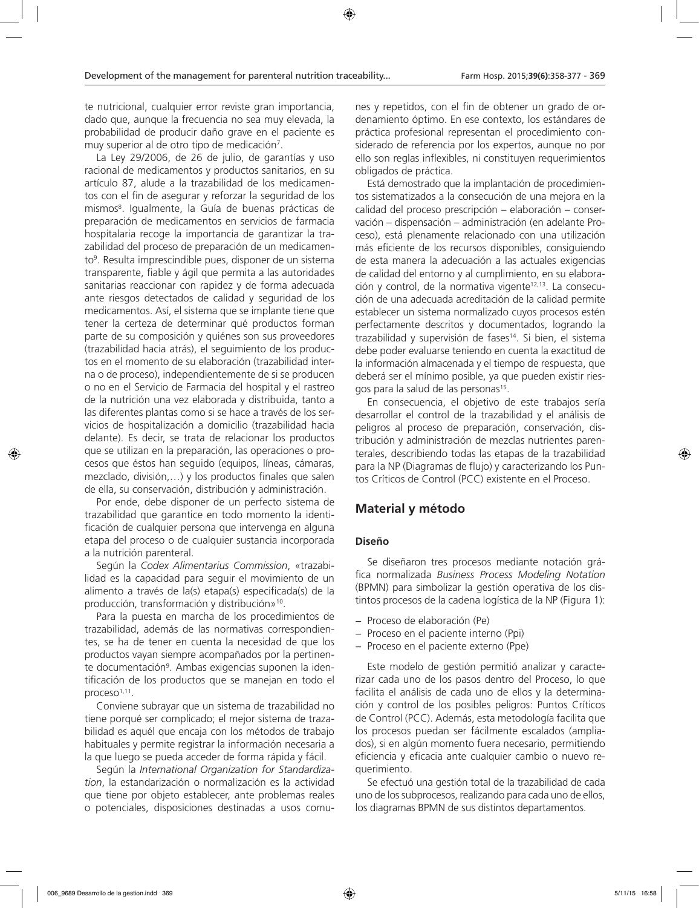te nutricional, cualquier error reviste gran importancia, dado que, aunque la frecuencia no sea muy elevada, la probabilidad de producir daño grave en el paciente es muy superior al de otro tipo de medicación<sup>7</sup>.

La Ley 29/2006, de 26 de julio, de garantías y uso racional de medicamentos y productos sanitarios, en su artículo 87, alude a la trazabilidad de los medicamentos con el fin de asegurar y reforzar la seguridad de los mismos8 . Igualmente, la Guía de buenas prácticas de preparación de medicamentos en servicios de farmacia hospitalaria recoge la importancia de garantizar la trazabilidad del proceso de preparación de un medicamento<sup>9</sup>. Resulta imprescindible pues, disponer de un sistema transparente, fiable y ágil que permita a las autoridades sanitarias reaccionar con rapidez y de forma adecuada ante riesgos detectados de calidad y seguridad de los medicamentos. Así, el sistema que se implante tiene que tener la certeza de determinar qué productos forman parte de su composición y quiénes son sus proveedores (trazabilidad hacia atrás), el seguimiento de los productos en el momento de su elaboración (trazabilidad interna o de proceso), independientemente de si se producen o no en el Servicio de Farmacia del hospital y el rastreo de la nutrición una vez elaborada y distribuida, tanto a las diferentes plantas como si se hace a través de los servicios de hospitalización a domicilio (trazabilidad hacia delante). Es decir, se trata de relacionar los productos que se utilizan en la preparación, las operaciones o procesos que éstos han seguido (equipos, líneas, cámaras, mezclado, división,…) y los productos finales que salen de ella, su conservación, distribución y administración.

Por ende, debe disponer de un perfecto sistema de trazabilidad que garantice en todo momento la identificación de cualquier persona que intervenga en alguna etapa del proceso o de cualquier sustancia incorporada a la nutrición parenteral.

Según la *Codex Alimentarius Commission*, «trazabilidad es la capacidad para seguir el movimiento de un alimento a través de la(s) etapa(s) especificada(s) de la producción, transformación y distribución»10.

Para la puesta en marcha de los procedimientos de trazabilidad, además de las normativas correspondientes, se ha de tener en cuenta la necesidad de que los productos vayan siempre acompañados por la pertinente documentación<sup>9</sup>. Ambas exigencias suponen la identificación de los productos que se manejan en todo el proceso $1,11$ .

Conviene subrayar que un sistema de trazabilidad no tiene porqué ser complicado; el mejor sistema de trazabilidad es aquél que encaja con los métodos de trabajo habituales y permite registrar la información necesaria a la que luego se pueda acceder de forma rápida y fácil.

Según la *International Organization for Standardization*, la estandarización o normalización es la actividad que tiene por objeto establecer, ante problemas reales o potenciales, disposiciones destinadas a usos comu-

nes y repetidos, con el fin de obtener un grado de ordenamiento óptimo. En ese contexto, los estándares de práctica profesional representan el procedimiento considerado de referencia por los expertos, aunque no por ello son reglas inflexibles, ni constituyen requerimientos obligados de práctica.

Está demostrado que la implantación de procedimientos sistematizados a la consecución de una mejora en la calidad del proceso prescripción – elaboración – conservación – dispensación – administración (en adelante Proceso), está plenamente relacionado con una utilización más eficiente de los recursos disponibles, consiguiendo de esta manera la adecuación a las actuales exigencias de calidad del entorno y al cumplimiento, en su elaboración y control, de la normativa vigente<sup>12,13</sup>. La consecución de una adecuada acreditación de la calidad permite establecer un sistema normalizado cuyos procesos estén perfectamente descritos y documentados, logrando la trazabilidad y supervisión de fases<sup>14</sup>. Si bien, el sistema debe poder evaluarse teniendo en cuenta la exactitud de la información almacenada y el tiempo de respuesta, que deberá ser el mínimo posible, ya que pueden existir riesgos para la salud de las personas<sup>15</sup>.

En consecuencia, el objetivo de este trabajos sería desarrollar el control de la trazabilidad y el análisis de peligros al proceso de preparación, conservación, distribución y administración de mezclas nutrientes parenterales, describiendo todas las etapas de la trazabilidad para la NP (Diagramas de flujo) y caracterizando los Puntos Críticos de Control (PCC) existente en el Proceso.

## **Material y método**

#### **Diseño**

Se diseñaron tres procesos mediante notación gráfica normalizada *Business Process Modeling Notation* (BPMN) para simbolizar la gestión operativa de los distintos procesos de la cadena logística de la NP (Figura 1):

- − Proceso de elaboración (Pe)
- − Proceso en el paciente interno (Ppi)
- − Proceso en el paciente externo (Ppe)

Este modelo de gestión permitió analizar y caracterizar cada uno de los pasos dentro del Proceso, lo que facilita el análisis de cada uno de ellos y la determinación y control de los posibles peligros: Puntos Críticos de Control (PCC). Además, esta metodología facilita que los procesos puedan ser fácilmente escalados (ampliados), si en algún momento fuera necesario, permitiendo eficiencia y eficacia ante cualquier cambio o nuevo requerimiento.

Se efectuó una gestión total de la trazabilidad de cada uno de los subprocesos, realizando para cada uno de ellos, los diagramas BPMN de sus distintos departamentos.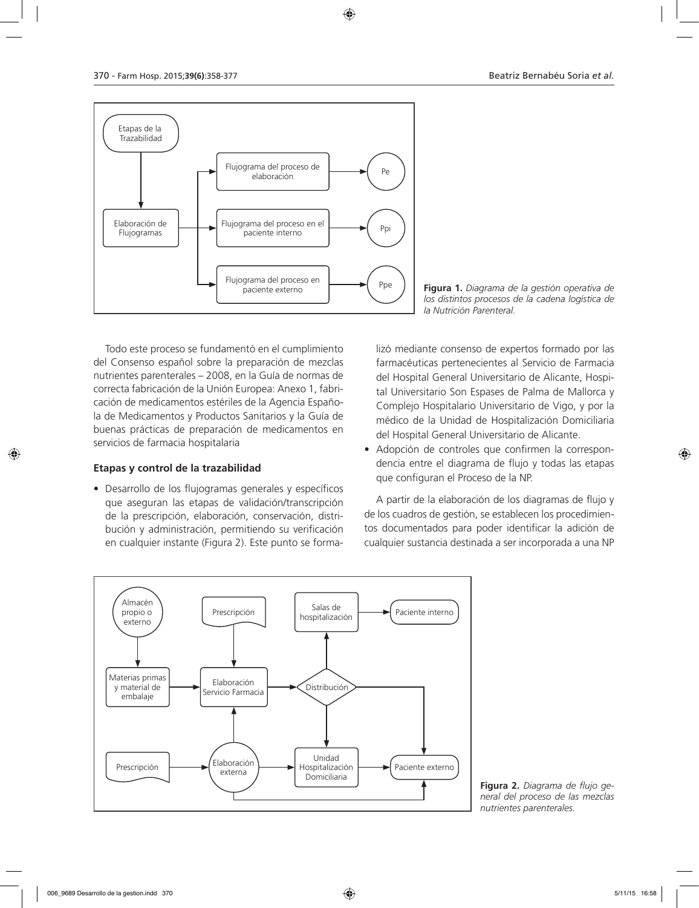

Todo este proceso se fundamentó en el cumplimiento del Consenso español sobre la preparación de mezclas nutrientes parenterales – 2008, en la Guía de normas de correcta fabricación de la Unión Europea: Anexo 1, fabricación de medicamentos estériles de la Agencia Española de Medicamentos y Productos Sanitarios y la Guía de buenas prácticas de preparación de medicamentos en servicios de farmacia hospitalaria

#### **Etapas y control de la trazabilidad**

• Desarrollo de los flujogramas generales y específicos que aseguran las etapas de validación/transcripción de la prescripción, elaboración, conservación, distribución y administración, permitiendo su verificación en cualquier instante (Figura 2). Este punto se forma-

Figura 1. Diagrama de la gestión operativa de *los distintos procesos de la cadena logística de la Nutrición Parenteral.*

lizó mediante consenso de expertos formado por las farmacéuticas pertenecientes al Servicio de Farmacia del Hospital General Universitario de Alicante, Hospital Universitario Son Espases de Palma de Mallorca y Complejo Hospitalario Universitario de Vigo, y por la médico de la Unidad de Hospitalización Domiciliaria del Hospital General Universitario de Alicante.

• Adopción de controles que confirmen la correspondencia entre el diagrama de flujo y todas las etapas que configuran el Proceso de la NP.

A partir de la elaboración de los diagramas de flujo y de los cuadros de gestión, se establecen los procedimientos documentados para poder identificar la adición de cualquier sustancia destinada a ser incorporada a una NP



**Figura 2.** *Diagrama de flujo general del proceso de las mezclas nutrientes parenterales.*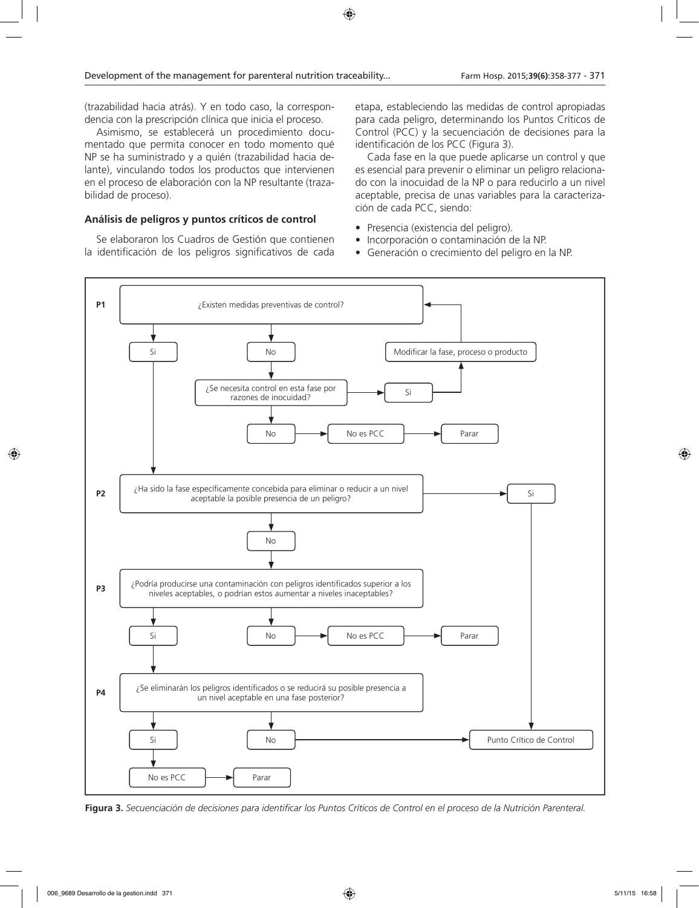(trazabilidad hacia atrás). Y en todo caso, la correspondencia con la prescripción clínica que inicia el proceso.

Asimismo, se establecerá un procedimiento documentado que permita conocer en todo momento qué NP se ha suministrado y a quién (trazabilidad hacia delante), vinculando todos los productos que intervienen en el proceso de elaboración con la NP resultante (trazabilidad de proceso).

#### **Análisis de peligros y puntos críticos de control**

Se elaboraron los Cuadros de Gestión que contienen la identificación de los peligros significativos de cada etapa, estableciendo las medidas de control apropiadas para cada peligro, determinando los Puntos Críticos de Control (PCC) y la secuenciación de decisiones para la identificación de los PCC (Figura 3).

Cada fase en la que puede aplicarse un control y que es esencial para prevenir o eliminar un peligro relacionado con la inocuidad de la NP o para reducirlo a un nivel aceptable, precisa de unas variables para la caracterización de cada PCC, siendo:

- Presencia (existencia del peligro).
- Incorporación o contaminación de la NP.
- Generación o crecimiento del peligro en la NP.



**Figura 3.** *Secuenciación de decisiones para identificar los Puntos Críticos de Control en el proceso de la Nutrición Parenteral.*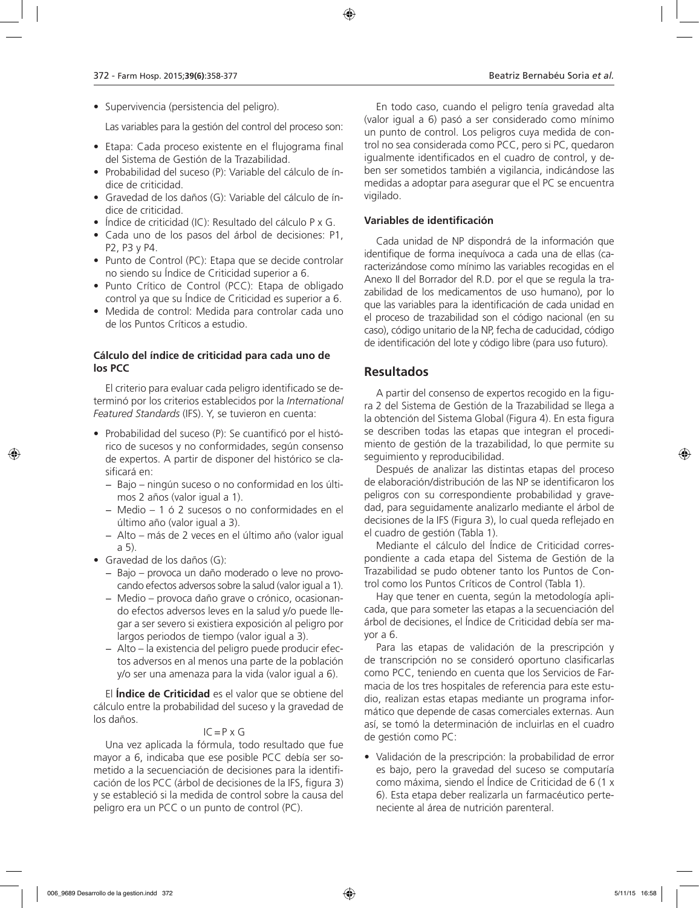• Supervivencia (persistencia del peligro).

Las variables para la gestión del control del proceso son:

- Etapa: Cada proceso existente en el flujograma final del Sistema de Gestión de la Trazabilidad.
- Probabilidad del suceso (P): Variable del cálculo de índice de criticidad.
- Gravedad de los daños (G): Variable del cálculo de índice de criticidad.
- Índice de criticidad (IC): Resultado del cálculo P x G.
- Cada uno de los pasos del árbol de decisiones: P1, P2, P3 y P4.
- Punto de Control (PC): Etapa que se decide controlar no siendo su Índice de Criticidad superior a 6.
- Punto Crítico de Control (PCC): Etapa de obligado control ya que su Índice de Criticidad es superior a 6.
- Medida de control: Medida para controlar cada uno de los Puntos Críticos a estudio.

### **Cálculo del índice de criticidad para cada uno de los PCC**

El criterio para evaluar cada peligro identificado se determinó por los criterios establecidos por la *International Featured Standards* (IFS). Y, se tuvieron en cuenta:

- Probabilidad del suceso (P): Se cuantificó por el histórico de sucesos y no conformidades, según consenso de expertos. A partir de disponer del histórico se clasificará en:
	- − Bajo ningún suceso o no conformidad en los últimos 2 años (valor igual a 1).
	- − Medio 1 ó 2 sucesos o no conformidades en el último año (valor igual a 3).
	- − Alto más de 2 veces en el último año (valor igual a 5).
- Gravedad de los daños (G):
	- − Bajo provoca un daño moderado o leve no provocando efectos adversos sobre la salud (valor igual a 1).
	- − Medio provoca daño grave o crónico, ocasionando efectos adversos leves en la salud y/o puede llegar a ser severo si existiera exposición al peligro por largos periodos de tiempo (valor igual a 3).
	- − Alto la existencia del peligro puede producir efectos adversos en al menos una parte de la población y/o ser una amenaza para la vida (valor igual a 6).

El **Índice de Criticidad** es el valor que se obtiene del cálculo entre la probabilidad del suceso y la gravedad de los daños.

### $IC = P \times G$

Una vez aplicada la fórmula, todo resultado que fue mayor a 6, indicaba que ese posible PCC debía ser sometido a la secuenciación de decisiones para la identificación de los PCC (árbol de decisiones de la IFS, figura 3) y se estableció si la medida de control sobre la causa del peligro era un PCC o un punto de control (PC).

En todo caso, cuando el peligro tenía gravedad alta (valor igual a 6) pasó a ser considerado como mínimo un punto de control. Los peligros cuya medida de control no sea considerada como PCC, pero si PC, quedaron igualmente identificados en el cuadro de control, y deben ser sometidos también a vigilancia, indicándose las medidas a adoptar para asegurar que el PC se encuentra vigilado.

### **Variables de identificación**

Cada unidad de NP dispondrá de la información que identifique de forma inequívoca a cada una de ellas (caracterizándose como mínimo las variables recogidas en el Anexo II del Borrador del R.D. por el que se regula la trazabilidad de los medicamentos de uso humano), por lo que las variables para la identificación de cada unidad en el proceso de trazabilidad son el código nacional (en su caso), código unitario de la NP, fecha de caducidad, código de identificación del lote y código libre (para uso futuro).

## **Resultados**

A partir del consenso de expertos recogido en la figura 2 del Sistema de Gestión de la Trazabilidad se llega a la obtención del Sistema Global (Figura 4). En esta figura se describen todas las etapas que integran el procedimiento de gestión de la trazabilidad, lo que permite su seguimiento y reproducibilidad.

Después de analizar las distintas etapas del proceso de elaboración/distribución de las NP se identificaron los peligros con su correspondiente probabilidad y gravedad, para seguidamente analizarlo mediante el árbol de decisiones de la IFS (Figura 3), lo cual queda reflejado en el cuadro de gestión (Tabla 1).

Mediante el cálculo del Índice de Criticidad correspondiente a cada etapa del Sistema de Gestión de la Trazabilidad se pudo obtener tanto los Puntos de Control como los Puntos Críticos de Control (Tabla 1).

Hay que tener en cuenta, según la metodología aplicada, que para someter las etapas a la secuenciación del árbol de decisiones, el Índice de Criticidad debía ser mayor a 6.

Para las etapas de validación de la prescripción y de transcripción no se consideró oportuno clasificarlas como PCC, teniendo en cuenta que los Servicios de Farmacia de los tres hospitales de referencia para este estudio, realizan estas etapas mediante un programa informático que depende de casas comerciales externas. Aun así, se tomó la determinación de incluirlas en el cuadro de gestión como PC:

• Validación de la prescripción: la probabilidad de error es bajo, pero la gravedad del suceso se computaría como máxima, siendo el Índice de Criticidad de 6 (1 x 6). Esta etapa deber realizarla un farmacéutico perteneciente al área de nutrición parenteral.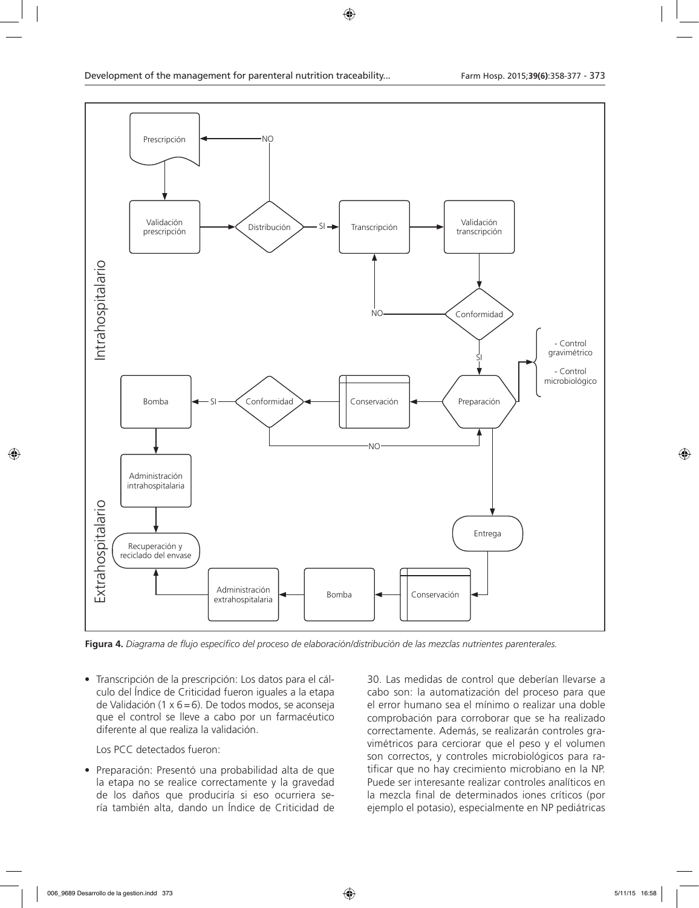

**Figura 4.** *Diagrama de flujo específico del proceso de elaboración/distribución de las mezclas nutrientes parenterales.*

• Transcripción de la prescripción: Los datos para el cálculo del Índice de Criticidad fueron iguales a la etapa de Validación (1 x 6=6). De todos modos, se aconseja que el control se lleve a cabo por un farmacéutico diferente al que realiza la validación.

Los PCC detectados fueron:

• Preparación: Presentó una probabilidad alta de que la etapa no se realice correctamente y la gravedad de los daños que produciría si eso ocurriera sería también alta, dando un Índice de Criticidad de

30. Las medidas de control que deberían llevarse a cabo son: la automatización del proceso para que el error humano sea el mínimo o realizar una doble comprobación para corroborar que se ha realizado correctamente. Además, se realizarán controles gravimétricos para cerciorar que el peso y el volumen son correctos, y controles microbiológicos para ratificar que no hay crecimiento microbiano en la NP. Puede ser interesante realizar controles analíticos en la mezcla final de determinados iones críticos (por ejemplo el potasio), especialmente en NP pediátricas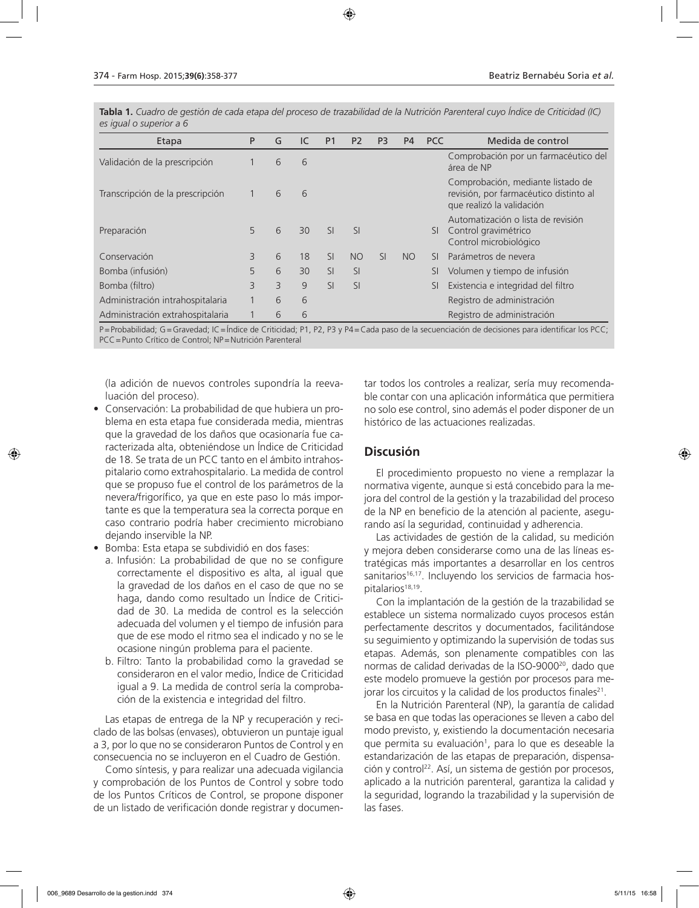**Tabla 1.** *Cuadro de gestión de cada etapa del proceso de trazabilidad de la Nutrición Parenteral cuyo Índice de Criticidad (IC) es igual o superior a 6*

| Etapa                            | P            | G | IC | P <sub>1</sub> | P <sub>2</sub> | P <sub>3</sub>          | P <sub>4</sub> | <b>PCC</b> | Medida de control                                                                                        |
|----------------------------------|--------------|---|----|----------------|----------------|-------------------------|----------------|------------|----------------------------------------------------------------------------------------------------------|
| Validación de la prescripción    |              | 6 | 6  |                |                |                         |                |            | Comprobación por un farmacéutico del<br>área de NP                                                       |
| Transcripción de la prescripción | $\mathbf{1}$ | 6 | 6  |                |                |                         |                |            | Comprobación, mediante listado de<br>revisión, por farmacéutico distinto al<br>que realizó la validación |
| Preparación                      | 5            | 6 | 30 | <sub>SI</sub>  | <b>SI</b>      |                         |                | SI.        | Automatización o lista de revisión<br>Control gravimétrico<br>Control microbiológico                     |
| Conservación                     | 3            | 6 | 18 | SI             | <b>NO</b>      | $\overline{\mathsf{S}}$ | NO.            | SI.        | Parámetros de nevera                                                                                     |
| Bomba (infusión)                 | 5            | 6 | 30 | <sub>SI</sub>  | SI             |                         |                | SI         | Volumen y tiempo de infusión                                                                             |
| Bomba (filtro)                   | 3            | 3 | 9  | <b>SI</b>      | <b>SI</b>      |                         |                | SI         | Existencia e integridad del filtro                                                                       |
| Administración intrahospitalaria |              | 6 | 6  |                |                |                         |                |            | Registro de administración                                                                               |
| Administración extrahospitalaria |              | 6 | 6  |                |                |                         |                |            | Registro de administración                                                                               |

P=Probabilidad; G=Gravedad; IC=Índice de Criticidad; P1, P2, P3 y P4=Cada paso de la secuenciación de decisiones para identificar los PCC; PCC=Punto Crítico de Control; NP=Nutrición Parenteral

(la adición de nuevos controles supondría la reevaluación del proceso).

- Conservación: La probabilidad de que hubiera un problema en esta etapa fue considerada media, mientras que la gravedad de los daños que ocasionaría fue caracterizada alta, obteniéndose un Índice de Criticidad de 18. Se trata de un PCC tanto en el ámbito intrahospitalario como extrahospitalario. La medida de control que se propuso fue el control de los parámetros de la nevera/frigorífico, ya que en este paso lo más importante es que la temperatura sea la correcta porque en caso contrario podría haber crecimiento microbiano dejando inservible la NP.
- Bomba: Esta etapa se subdividió en dos fases:
	- a. Infusión: La probabilidad de que no se configure correctamente el dispositivo es alta, al igual que la gravedad de los daños en el caso de que no se haga, dando como resultado un Índice de Criticidad de 30. La medida de control es la selección adecuada del volumen y el tiempo de infusión para que de ese modo el ritmo sea el indicado y no se le ocasione ningún problema para el paciente.
	- b. Filtro: Tanto la probabilidad como la gravedad se consideraron en el valor medio, Índice de Criticidad igual a 9. La medida de control sería la comprobación de la existencia e integridad del filtro.

Las etapas de entrega de la NP y recuperación y reciclado de las bolsas (envases), obtuvieron un puntaje igual a 3, por lo que no se consideraron Puntos de Control y en consecuencia no se incluyeron en el Cuadro de Gestión.

Como síntesis, y para realizar una adecuada vigilancia y comprobación de los Puntos de Control y sobre todo de los Puntos Críticos de Control, se propone disponer de un listado de verificación donde registrar y documentar todos los controles a realizar, sería muy recomendable contar con una aplicación informática que permitiera no solo ese control, sino además el poder disponer de un histórico de las actuaciones realizadas.

### **Discusión**

El procedimiento propuesto no viene a remplazar la normativa vigente, aunque si está concebido para la mejora del control de la gestión y la trazabilidad del proceso de la NP en beneficio de la atención al paciente, asegurando así la seguridad, continuidad y adherencia.

Las actividades de gestión de la calidad, su medición y mejora deben considerarse como una de las líneas estratégicas más importantes a desarrollar en los centros sanitarios<sup>16,17</sup>. Incluyendo los servicios de farmacia hospitalarios<sup>18,19</sup>.

Con la implantación de la gestión de la trazabilidad se establece un sistema normalizado cuyos procesos están perfectamente descritos y documentados, facilitándose su seguimiento y optimizando la supervisión de todas sus etapas. Además, son plenamente compatibles con las normas de calidad derivadas de la ISO-9000<sup>20</sup>, dado que este modelo promueve la gestión por procesos para mejorar los circuitos y la calidad de los productos finales<sup>21</sup>.

En la Nutrición Parenteral (NP), la garantía de calidad se basa en que todas las operaciones se lleven a cabo del modo previsto, y, existiendo la documentación necesaria que permita su evaluación<sup>1</sup>, para lo que es deseable la estandarización de las etapas de preparación, dispensación y control<sup>22</sup>. Así, un sistema de gestión por procesos, aplicado a la nutrición parenteral, garantiza la calidad y la seguridad, logrando la trazabilidad y la supervisión de las fases.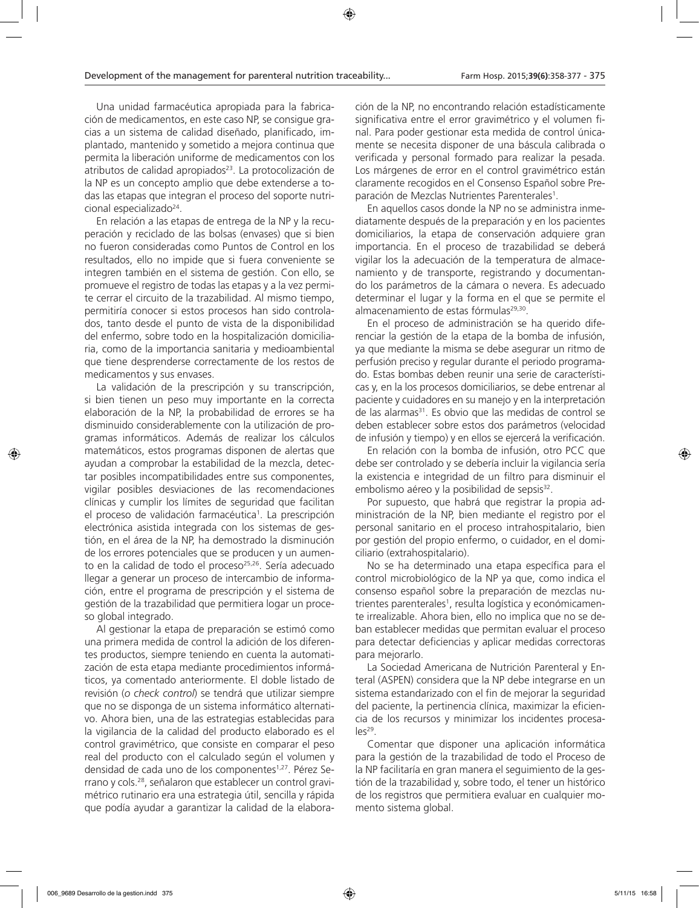Una unidad farmacéutica apropiada para la fabricación de medicamentos, en este caso NP, se consigue gracias a un sistema de calidad diseñado, planificado, implantado, mantenido y sometido a mejora continua que permita la liberación uniforme de medicamentos con los atributos de calidad apropiados<sup>23</sup>. La protocolización de la NP es un concepto amplio que debe extenderse a todas las etapas que integran el proceso del soporte nutricional especializado<sup>24</sup>.

En relación a las etapas de entrega de la NP y la recuperación y reciclado de las bolsas (envases) que si bien no fueron consideradas como Puntos de Control en los resultados, ello no impide que si fuera conveniente se integren también en el sistema de gestión. Con ello, se promueve el registro de todas las etapas y a la vez permite cerrar el circuito de la trazabilidad. Al mismo tiempo, permitiría conocer si estos procesos han sido controlados, tanto desde el punto de vista de la disponibilidad del enfermo, sobre todo en la hospitalización domiciliaria, como de la importancia sanitaria y medioambiental que tiene desprenderse correctamente de los restos de medicamentos y sus envases.

La validación de la prescripción y su transcripción, si bien tienen un peso muy importante en la correcta elaboración de la NP, la probabilidad de errores se ha disminuido considerablemente con la utilización de programas informáticos. Además de realizar los cálculos matemáticos, estos programas disponen de alertas que ayudan a comprobar la estabilidad de la mezcla, detectar posibles incompatibilidades entre sus componentes, vigilar posibles desviaciones de las recomendaciones clínicas y cumplir los límites de seguridad que facilitan el proceso de validación farmacéutica<sup>1</sup>. La prescripción electrónica asistida integrada con los sistemas de gestión, en el área de la NP, ha demostrado la disminución de los errores potenciales que se producen y un aumento en la calidad de todo el proceso<sup>25,26</sup>. Sería adecuado llegar a generar un proceso de intercambio de información, entre el programa de prescripción y el sistema de gestión de la trazabilidad que permitiera logar un proceso global integrado.

Al gestionar la etapa de preparación se estimó como una primera medida de control la adición de los diferentes productos, siempre teniendo en cuenta la automatización de esta etapa mediante procedimientos informáticos, ya comentado anteriormente. El doble listado de revisión (*o check control*) se tendrá que utilizar siempre que no se disponga de un sistema informático alternativo. Ahora bien, una de las estrategias establecidas para la vigilancia de la calidad del producto elaborado es el control gravimétrico, que consiste en comparar el peso real del producto con el calculado según el volumen y densidad de cada uno de los componentes<sup>1,27</sup>. Pérez Serrano y cols.28, señalaron que establecer un control gravimétrico rutinario era una estrategia útil, sencilla y rápida que podía ayudar a garantizar la calidad de la elaboración de la NP, no encontrando relación estadísticamente significativa entre el error gravimétrico y el volumen final. Para poder gestionar esta medida de control únicamente se necesita disponer de una báscula calibrada o verificada y personal formado para realizar la pesada. Los márgenes de error en el control gravimétrico están claramente recogidos en el Consenso Español sobre Preparación de Mezclas Nutrientes Parenterales<sup>1</sup>.

En aquellos casos donde la NP no se administra inmediatamente después de la preparación y en los pacientes domiciliarios, la etapa de conservación adquiere gran importancia. En el proceso de trazabilidad se deberá vigilar los la adecuación de la temperatura de almacenamiento y de transporte, registrando y documentando los parámetros de la cámara o nevera. Es adecuado determinar el lugar y la forma en el que se permite el almacenamiento de estas fórmulas<sup>29,30</sup>.

En el proceso de administración se ha querido diferenciar la gestión de la etapa de la bomba de infusión, ya que mediante la misma se debe asegurar un ritmo de perfusión preciso y regular durante el periodo programado. Estas bombas deben reunir una serie de características y, en la los procesos domiciliarios, se debe entrenar al paciente y cuidadores en su manejo y en la interpretación de las alarmas<sup>31</sup>. Es obvio que las medidas de control se deben establecer sobre estos dos parámetros (velocidad de infusión y tiempo) y en ellos se ejercerá la verificación.

En relación con la bomba de infusión, otro PCC que debe ser controlado y se debería incluir la vigilancia sería la existencia e integridad de un filtro para disminuir el embolismo aéreo y la posibilidad de sepsis<sup>32</sup>.

Por supuesto, que habrá que registrar la propia administración de la NP, bien mediante el registro por el personal sanitario en el proceso intrahospitalario, bien por gestión del propio enfermo, o cuidador, en el domiciliario (extrahospitalario).

No se ha determinado una etapa específica para el control microbiológico de la NP ya que, como indica el consenso español sobre la preparación de mezclas nutrientes parenterales<sup>1</sup>, resulta logística y económicamente irrealizable. Ahora bien, ello no implica que no se deban establecer medidas que permitan evaluar el proceso para detectar deficiencias y aplicar medidas correctoras para mejorarlo.

La Sociedad Americana de Nutrición Parenteral y Enteral (ASPEN) considera que la NP debe integrarse en un sistema estandarizado con el fin de mejorar la seguridad del paciente, la pertinencia clínica, maximizar la eficiencia de los recursos y minimizar los incidentes procesa $les^{29}$ .

Comentar que disponer una aplicación informática para la gestión de la trazabilidad de todo el Proceso de la NP facilitaría en gran manera el seguimiento de la gestión de la trazabilidad y, sobre todo, el tener un histórico de los registros que permitiera evaluar en cualquier momento sistema global.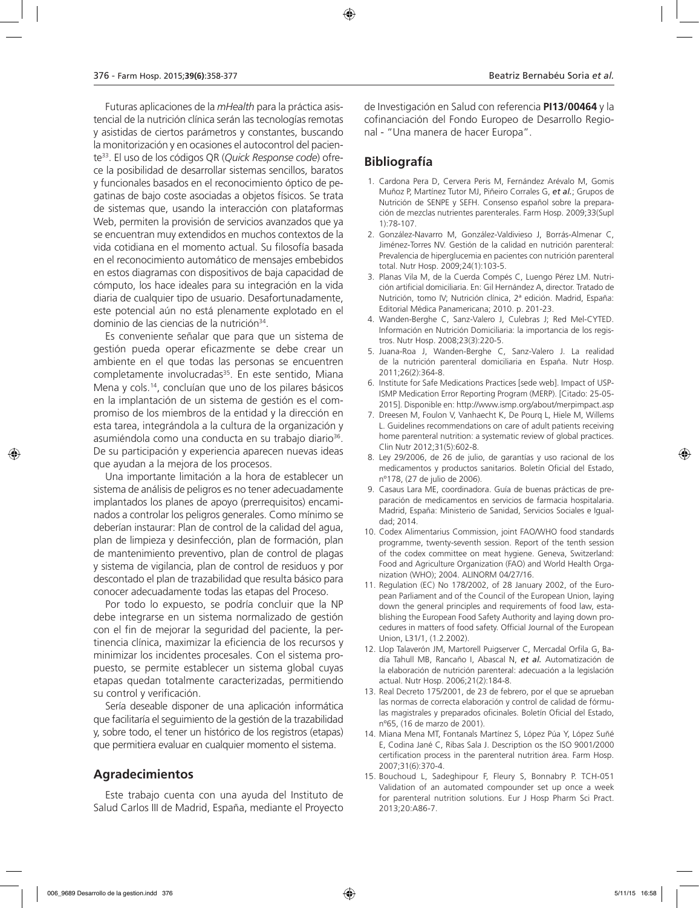Futuras aplicaciones de la *mHealth* para la práctica asistencial de la nutrición clínica serán las tecnologías remotas y asistidas de ciertos parámetros y constantes, buscando la monitorización y en ocasiones el autocontrol del paciente33 . El uso de los códigos QR (*Quick Response code*) ofrece la posibilidad de desarrollar sistemas sencillos, baratos y funcionales basados en el reconocimiento óptico de pegatinas de bajo coste asociadas a objetos físicos. Se trata de sistemas que, usando la interacción con plataformas Web, permiten la provisión de servicios avanzados que ya se encuentran muy extendidos en muchos contextos de la vida cotidiana en el momento actual. Su filosofía basada en el reconocimiento automático de mensajes embebidos en estos diagramas con dispositivos de baja capacidad de cómputo, los hace ideales para su integración en la vida diaria de cualquier tipo de usuario. Desafortunadamente, este potencial aún no está plenamente explotado en el dominio de las ciencias de la nutrición<sup>34</sup>.

Es conveniente señalar que para que un sistema de gestión pueda operar eficazmente se debe crear un ambiente en el que todas las personas se encuentren completamente involucradas<sup>35</sup>. En este sentido, Miana Mena y cols.14 , concluían que uno de los pilares básicos en la implantación de un sistema de gestión es el compromiso de los miembros de la entidad y la dirección en esta tarea, integrándola a la cultura de la organización y asumiéndola como una conducta en su trabajo diario<sup>36</sup>. De su participación y experiencia aparecen nuevas ideas que ayudan a la mejora de los procesos.

Una importante limitación a la hora de establecer un sistema de análisis de peligros es no tener adecuadamente implantados los planes de apoyo (prerrequisitos) encaminados a controlar los peligros generales. Como mínimo se deberían instaurar: Plan de control de la calidad del agua, plan de limpieza y desinfección, plan de formación, plan de mantenimiento preventivo, plan de control de plagas y sistema de vigilancia, plan de control de residuos y por descontado el plan de trazabilidad que resulta básico para conocer adecuadamente todas las etapas del Proceso.

Por todo lo expuesto, se podría concluir que la NP debe integrarse en un sistema normalizado de gestión con el fin de mejorar la seguridad del paciente, la pertinencia clínica, maximizar la eficiencia de los recursos y minimizar los incidentes procesales. Con el sistema propuesto, se permite establecer un sistema global cuyas etapas quedan totalmente caracterizadas, permitiendo su control y verificación.

Sería deseable disponer de una aplicación informática que facilitaría el seguimiento de la gestión de la trazabilidad y, sobre todo, el tener un histórico de los registros (etapas) que permitiera evaluar en cualquier momento el sistema.

### **Agradecimientos**

Este trabajo cuenta con una ayuda del Instituto de Salud Carlos III de Madrid, España, mediante el Proyecto

de Investigación en Salud con referencia **PI13/00464** y la cofinanciación del Fondo Europeo de Desarrollo Regional - "Una manera de hacer Europa".

## **Bibliografía**

- 1. Cardona Pera D, Cervera Peris M, Fernández Arévalo M, Gomis Muñoz P, Martínez Tutor MJ, Piñeiro Corrales G, *et al.*; Grupos de Nutrición de SENPE y SEFH. Consenso español sobre la preparación de mezclas nutrientes parenterales. Farm Hosp. 2009;33(Supl 1):78-107.
- 2. González-Navarro M, González-Valdivieso J, Borrás-Almenar C, Jiménez-Torres NV. Gestión de la calidad en nutrición parenteral: Prevalencia de hiperglucemia en pacientes con nutrición parenteral total. Nutr Hosp. 2009;24(1):103-5.
- 3. Planas Vila M, de la Cuerda Compés C, Luengo Pérez LM. Nutrición artificial domiciliaria. En: Gil Hernández A, director. Tratado de Nutrición, tomo IV; Nutrición clínica, 2ª edición. Madrid, España: Editorial Médica Panamericana; 2010. p. 201-23.
- 4. Wanden-Berghe C, Sanz-Valero J, Culebras J; Red Mel-CYTED. Información en Nutrición Domiciliaria: la importancia de los registros. Nutr Hosp. 2008;23(3):220-5.
- 5. Juana-Roa J, Wanden-Berghe C, Sanz-Valero J. La realidad de la nutrición parenteral domiciliaria en España. Nutr Hosp. 2011;26(2):364-8.
- 6. Institute for Safe Medications Practices [sede web]. Impact of USP-ISMP Medication Error Reporting Program (MERP). [Citado: 25-05- 2015]. Disponible en: http://www.ismp.org/about/merpimpact.asp
- 7. Dreesen M, Foulon V, Vanhaecht K, De Pourq L, Hiele M, Willems L. Guidelines recommendations on care of adult patients receiving home parenteral nutrition: a systematic review of global practices. Clin Nutr 2012;31(5):602-8.
- 8. Ley 29/2006, de 26 de julio, de garantías y uso racional de los medicamentos y productos sanitarios. Boletín Oficial del Estado, nº178, (27 de julio de 2006).
- 9. Casaus Lara ME, coordinadora. Guía de buenas prácticas de preparación de medicamentos en servicios de farmacia hospitalaria. Madrid, España: Ministerio de Sanidad, Servicios Sociales e Igualdad; 2014.
- 10. Codex Alimentarius Commission, joint FAO/WHO food standards programme, twenty-seventh session. Report of the tenth session of the codex committee on meat hygiene. Geneva, Switzerland: Food and Agriculture Organization (FAO) and World Health Organization (WHO); 2004. ALINORM 04/27/16.
- 11. Regulation (EC) No 178/2002, of 28 January 2002, of the European Parliament and of the Council of the European Union, laying down the general principles and requirements of food law, establishing the European Food Safety Authority and laying down procedures in matters of food safety. Official Journal of the European Union, L31/1, (1.2.2002).
- 12. Llop Talaverón JM, Martorell Puigserver C, Mercadal Orfila G, Badía Tahull MB, Rancaño I, Abascal N, *et al.* Automatización de la elaboración de nutrición parenteral: adecuación a la legislación actual. Nutr Hosp. 2006;21(2):184-8.
- 13. Real Decreto 175/2001, de 23 de febrero, por el que se aprueban las normas de correcta elaboración y control de calidad de fórmulas magistrales y preparados oficinales. Boletín Oficial del Estado, nº65, (16 de marzo de 2001).
- 14. Miana Mena MT, Fontanals Martínez S, López Púa Y, López Suñé E, Codina Jané C, Ribas Sala J. Description os the ISO 9001/2000 certification process in the parenteral nutrition área. Farm Hosp. 2007;31(6):370-4.
- 15. Bouchoud L, Sadeghipour F, Fleury S, Bonnabry P. TCH-051 Validation of an automated compounder set up once a week for parenteral nutrition solutions. Eur J Hosp Pharm Sci Pract. 2013;20:A86-7.